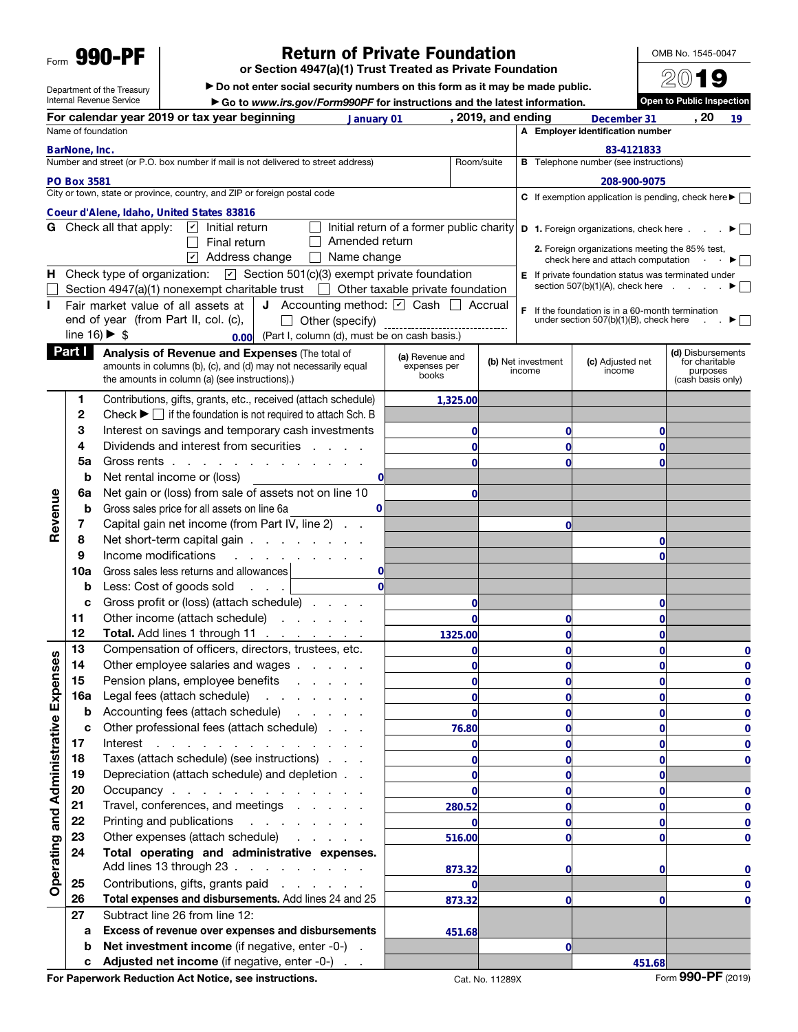Form 990-PF

Department of the Treasury Internal Revenue Service

## Return of Private Foundation

or Section 4947(a)(1) Trust Treated as Private Foundation

▶ Do not enter social security numbers on this form as it may be made public.

▶ Go to *www.irs.gov/Form990PF* for instructions and the latest information.

For calendar year 2019 or tax year beginning and and and part of 2019, and ending becember 31 (20 **2019, and ending December 31 19 19** Name of foundation A Employer identification number **BarNone, Inc.**<br>Number and stree<br>PO Box 3581 **Comparison BarNone, Inc.** 83-4121833<br> **Comparison BarNone, Inc.** 83-4121833<br> **Coeur d'Alene, Idaho, United States 83816**<br> **Coeur d'Alene, Idaho, United States 83816**<br> **Coeur d'Alene, Idaho, United States 83816 B** Telephone number (see instructions) Number and street (or P.O. box number if mail is not delivered to street address) Room/suite City or town, state or province, country, and ZIP or foreign postal code C If exemption application is pending, check here  $\blacktriangleright \Box$ **G** Check all that apply:  $\boxed{\triangleright}$  Initial return Initial return of a former public charity **D** 1. Foreign organizations, check here . . .  $\blacktriangleright$ Amended return  $\Box$  Final return 2. Foreign organizations meeting the 85% test, ☑ Address change  $\Box$  Name change check here and attach computation  $\cdot \cdot \cdot \cdot$ **H** Check type of organization:  $\boxed{\mathbf{v}}$  Section 501(c)(3) exempt private foundation **E** If private foundation status was terminated under section 507(b)(1)(A), check here  $\qquad \qquad \bullet$ Section 4947(a)(1) nonexempt charitable trust  $\Box$  Other taxable private foundation Fair market value of all assets at **J** Accounting method:  $\boxed{\phantom{a}}$  Cash  $\boxed{\phantom{a}}$  Accrual at **J** Accounting method:  $\angle$ <br>**C**),  $\Box$  Other (specify) \_\_\_\_\_<br>0.00 (Part I, column (d), must be on F If the foundation is in a 60-month termination end of year (from Part II, col. (c), under section 507(b)(1)(B), check here  $\Box$ Other (specify) line  $16$ )  $\triangleright$  \$ (Part I, column (d), must be on cash basis.) **Part I** Analysis of Revenue and Expenses (The total of (d) Disbursements (a) Revenue and (b) Net investment (c) Adjusted net for charitable amounts in columns (b), (c), and (d) may not necessarily equal expenses per books income income purposes the amounts in column (a) (see instructions).) (cash basis only) 1 Contributions, gifts, grants, etc., received (attach schedule) **1,325.000 <sup>0</sup> <sup>0</sup>** 2 Check  $\blacktriangleright \Box$  if the foundation is not required to attach Sch. B 3 Interest on savings and temporary cash investments 4 Dividends and interest from securities . . . . **0 0 0** 5a Gross rents . . . . . . . . . . . . . **0 0 0 b** Net rental income or (loss) **0** 6a Net gain or (loss) from sale of assets not on line 10 **0** Revenue Revenue **b** Gross sales price for all assets on line 6a **0** 7 Capital gain net income (from Part IV, line 2) . . **0** 8 Net short-term capital gain . . . . . . . . **0** 9 Income modifications . . . . **0** 10a Gross sales less returns and allowances **0 b** Less: Cost of goods sold . . . **0** c Gross profit or (loss) (attach schedule) . . . . **0 0** 11 Other income (attach schedule) . . . . . . **0 0 0** 12 Total. Add lines 1 through 11 . . **1325.00 0 0** 13 Compensation of officers, directors, trustees, etc. **0 0 0 0** Operating and Administrative Expenses Operating and Administrative Expenses 14 Other employee salaries and wages . . . . . **0 0 0 0** 15 Pension plans, employee benefits . . . . . **0 0 0 0** 16a Legal fees (attach schedule) . . . . . . . **0 0 0 0 b** Accounting fees (attach schedule) . . . . . **0 0 0 0** c Other professional fees (attach schedule) . . . **76.80 0 0 0** 17 Interest . . . . . . . . . . . . . . **0 0 0 0** 18 Taxes (attach schedule) (see instructions) . . . **0 0 0 0** 19 Depreciation (attach schedule) and depletion . . **0 0 0 20** Occupancy . . . . . . . . . . . . . **0 0 0 0** 21 Travel, conferences, and meetings . . . . . **280.52 0 0 0** 22 Printing and publications . . . . . . . . **0 0 0 0** 23 Other expenses (attach schedule) **516.00 0 0 0** 24 Total operating and administrative expenses. Add lines 13 through 23 . . . . . . . . . . **873.32 0 0 0** 25 Contributions, gifts, grants paid . . . . . . **0 0** 26 Total expenses and disbursements. Add lines 24 and 25 **873.32 0 0 0** 27 Subtract line 26 from line 12: a Excess of revenue over expenses and disbursements **451.68** b Net investment income (if negative, enter -0-). **0** c Adjusted net income (if negative, enter -0-) **451.68**

OMB No. 1545-0047 2019 Open to Public Inspection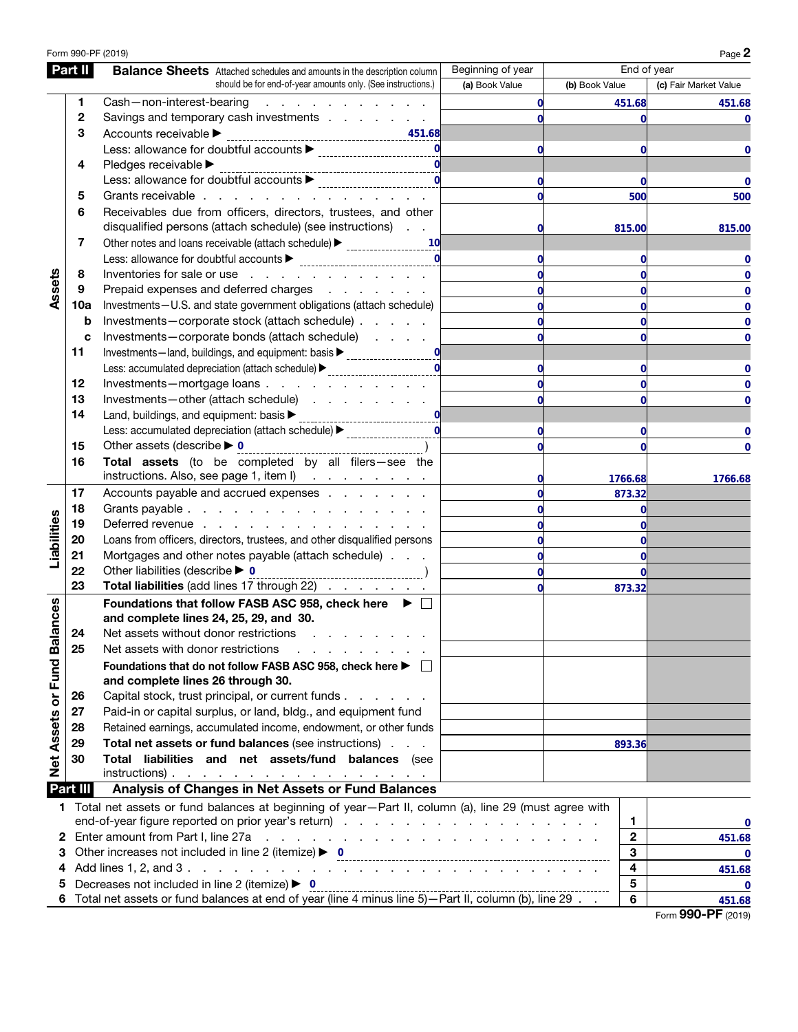|                             |              | Form 990-PF (2019)                                                                                                          |                   |                | Page 2                |
|-----------------------------|--------------|-----------------------------------------------------------------------------------------------------------------------------|-------------------|----------------|-----------------------|
|                             | Part II      | <b>Balance Sheets</b> Attached schedules and amounts in the description column                                              | Beginning of year | End of year    |                       |
|                             |              | should be for end-of-year amounts only. (See instructions.)                                                                 | (a) Book Value    | (b) Book Value | (c) Fair Market Value |
|                             | 1            | Cash-non-interest-bearing<br>and a straight and a straight                                                                  | 0                 | 451.68         | 451.68                |
|                             | $\mathbf{2}$ | Savings and temporary cash investments                                                                                      | $\bf{0}$          | O              |                       |
|                             | 3            | Accounts receivable ▶                                                                                                       |                   |                |                       |
|                             |              | Less: allowance for doubtful accounts ▶<br>------------------------                                                         | $\mathbf 0$       | 0              |                       |
|                             | 4            | Pledges receivable ▶                                                                                                        |                   |                |                       |
|                             |              | Less: allowance for doubtful accounts ▶<br>_________________________                                                        | $\mathbf 0$       | 0              | 0                     |
|                             | 5            | Grants receivable                                                                                                           | $\mathbf 0$       | 500            | 500                   |
|                             | 6            | Receivables due from officers, directors, trustees, and other                                                               |                   |                |                       |
|                             |              | disqualified persons (attach schedule) (see instructions)                                                                   | 0                 | 815.00         | 815.00                |
|                             | 7            | Other notes and loans receivable (attach schedule) > ___________________________<br><b>10</b>                               |                   |                |                       |
|                             |              | Less: allowance for doubtful accounts $\blacktriangleright$                                                                 | $\mathbf 0$       |                |                       |
|                             | 8            | Inventories for sale or use                                                                                                 | $\mathbf 0$       | 0              |                       |
| Assets                      | 9            | Prepaid expenses and deferred charges                                                                                       | $\mathbf 0$       | 0              | 0                     |
|                             | 10a          | Investments-U.S. and state government obligations (attach schedule)                                                         | $\mathbf 0$       | 0              | 0                     |
|                             | b            | Investments-corporate stock (attach schedule)                                                                               | $\mathbf 0$       | 0              | o                     |
|                             | c            | Investments-corporate bonds (attach schedule)                                                                               | $\bf{0}$          | O              | 0                     |
|                             | 11           | Investments-land, buildings, and equipment: basis $\blacktriangleright$ _______________________                             |                   |                |                       |
|                             |              | Less: accumulated depreciation (attach schedule) > _____________________________                                            | $\mathbf 0$       | 0              |                       |
|                             | 12           | Investments-mortgage loans                                                                                                  | $\mathbf 0$       | 0              |                       |
|                             | 13           | Investments-other (attach schedule)                                                                                         | $\mathbf 0$       | 0              | 0                     |
|                             | 14           | Land, buildings, and equipment: basis $\blacktriangleright$<br>$\mathbf 0$                                                  |                   |                |                       |
|                             |              | Less: accumulated depreciation (attach schedule) > ______________                                                           | $\mathbf 0$       |                |                       |
|                             | 15           | Other assets (describe $\blacktriangleright$ 0                                                                              | $\bf{0}$          | O              |                       |
|                             | 16           | Total assets (to be completed by all filers-see the                                                                         |                   |                |                       |
|                             |              | instructions. Also, see page 1, item I)                                                                                     | $\mathbf{0}$      | 1766.68        | 1766.68               |
|                             | 17           | Accounts payable and accrued expenses                                                                                       | $\mathbf 0$       | 873.32         |                       |
|                             | 18           | Grants payable                                                                                                              | $\mathbf 0$       |                |                       |
|                             | 19           | Deferred revenue                                                                                                            | $\bf{0}$          |                |                       |
|                             | 20           | Loans from officers, directors, trustees, and other disqualified persons                                                    | $\mathbf 0$       | O              |                       |
| Liabilities                 | 21           | Mortgages and other notes payable (attach schedule)                                                                         | $\mathbf 0$       |                |                       |
|                             | 22           | Other liabilities (describe $\blacktriangleright$ 0                                                                         | $\mathbf{0}$      |                |                       |
|                             | 23           | Total liabilities (add lines 17 through 22)                                                                                 | $\bf{0}$          | 873.32         |                       |
|                             |              | Foundations that follow FASB ASC 958, check here ▶ □                                                                        |                   |                |                       |
|                             |              | and complete lines 24, 25, 29, and 30.                                                                                      |                   |                |                       |
|                             | 24           | Net assets without donor restrictions                                                                                       |                   |                |                       |
|                             | 25           | Net assets with donor restrictions                                                                                          |                   |                |                       |
| Net Assets or Fund Balances |              | Foundations that do not follow FASB ASC 958, check here ▶ □                                                                 |                   |                |                       |
|                             |              | and complete lines 26 through 30.                                                                                           |                   |                |                       |
|                             | 26           | Capital stock, trust principal, or current funds                                                                            |                   |                |                       |
|                             | 27           | Paid-in or capital surplus, or land, bldg., and equipment fund                                                              |                   |                |                       |
|                             | 28           | Retained earnings, accumulated income, endowment, or other funds                                                            |                   |                |                       |
|                             | 29           | Total net assets or fund balances (see instructions)                                                                        |                   | 893.36         |                       |
|                             | 30           | Total liabilities and net assets/fund balances (see                                                                         |                   |                |                       |
|                             |              | $instructions)$ .                                                                                                           |                   |                |                       |
|                             | Part III     | Analysis of Changes in Net Assets or Fund Balances                                                                          |                   |                |                       |
|                             |              | 1 Total net assets or fund balances at beginning of year-Part II, column (a), line 29 (must agree with                      |                   |                |                       |
|                             |              |                                                                                                                             |                   | 1              | 0                     |
|                             |              | 2 Enter amount from Part I, line 27a<br>and the contract of the contract of the contract of the contract of the contract of |                   | $\mathbf{2}$   | 451.68                |
| 3                           |              | Other increases not included in line 2 (itemize) $\triangleright$ 0                                                         |                   | 3              | 0                     |
| 4                           |              |                                                                                                                             |                   | 4              | 451.68                |
| 5                           |              | Decreases not included in line 2 (itemize) $\triangleright$ 0                                                               |                   | 5              | 0                     |
|                             |              |                                                                                                                             |                   | 6              | 451.68                |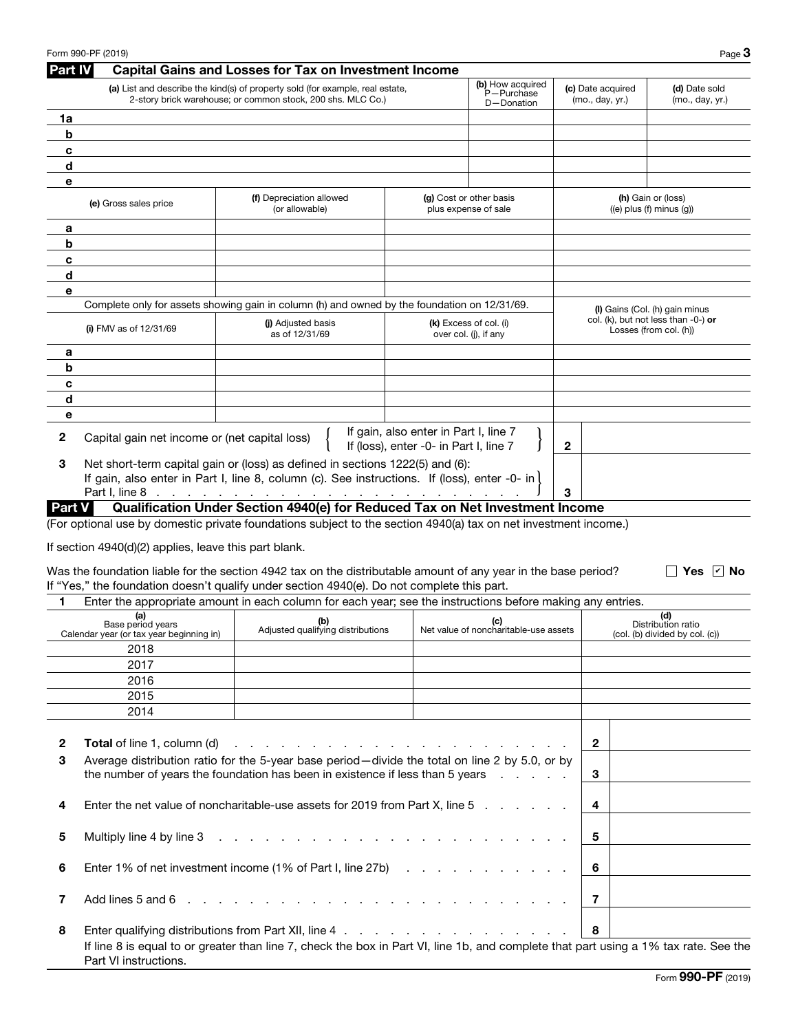| Part IV               | Form 990-PF (2019)                                            | <b>Capital Gains and Losses for Tax on Investment Income</b>                                                                                                                                                                                                                                                               |                                                                                 |                                                 |                                      | Page $3$                                                         |
|-----------------------|---------------------------------------------------------------|----------------------------------------------------------------------------------------------------------------------------------------------------------------------------------------------------------------------------------------------------------------------------------------------------------------------------|---------------------------------------------------------------------------------|-------------------------------------------------|--------------------------------------|------------------------------------------------------------------|
|                       |                                                               | (a) List and describe the kind(s) of property sold (for example, real estate,<br>2-story brick warehouse; or common stock, 200 shs. MLC Co.)                                                                                                                                                                               |                                                                                 | (b) How acquired<br>P-Purchase<br>D-Donation    | (c) Date acquired<br>(mo., day, yr.) | (d) Date sold<br>(mo., day, yr.)                                 |
| 1a                    |                                                               |                                                                                                                                                                                                                                                                                                                            |                                                                                 |                                                 |                                      |                                                                  |
| $\mathbf b$           |                                                               |                                                                                                                                                                                                                                                                                                                            |                                                                                 |                                                 |                                      |                                                                  |
| c                     |                                                               |                                                                                                                                                                                                                                                                                                                            |                                                                                 |                                                 |                                      |                                                                  |
| d                     |                                                               |                                                                                                                                                                                                                                                                                                                            |                                                                                 |                                                 |                                      |                                                                  |
| е                     |                                                               |                                                                                                                                                                                                                                                                                                                            |                                                                                 |                                                 |                                      |                                                                  |
|                       | (e) Gross sales price                                         | (f) Depreciation allowed<br>(or allowable)                                                                                                                                                                                                                                                                                 |                                                                                 | (g) Cost or other basis<br>plus expense of sale |                                      | (h) Gain or (loss)<br>$((e)$ plus $(f)$ minus $(g)$ )            |
| а                     |                                                               |                                                                                                                                                                                                                                                                                                                            |                                                                                 |                                                 |                                      |                                                                  |
| b                     |                                                               |                                                                                                                                                                                                                                                                                                                            |                                                                                 |                                                 |                                      |                                                                  |
| c                     |                                                               |                                                                                                                                                                                                                                                                                                                            |                                                                                 |                                                 |                                      |                                                                  |
| d                     |                                                               |                                                                                                                                                                                                                                                                                                                            |                                                                                 |                                                 |                                      |                                                                  |
| е                     |                                                               |                                                                                                                                                                                                                                                                                                                            |                                                                                 |                                                 |                                      |                                                                  |
|                       |                                                               | Complete only for assets showing gain in column (h) and owned by the foundation on 12/31/69.                                                                                                                                                                                                                               |                                                                                 |                                                 |                                      | (I) Gains (Col. (h) gain minus                                   |
|                       | (i) FMV as of $12/31/69$                                      | (i) Adjusted basis<br>as of 12/31/69                                                                                                                                                                                                                                                                                       |                                                                                 | (k) Excess of col. (i)<br>over col. (j), if any |                                      | col. (k), but not less than $-0$ -) or<br>Losses (from col. (h)) |
| а                     |                                                               |                                                                                                                                                                                                                                                                                                                            |                                                                                 |                                                 |                                      |                                                                  |
| b                     |                                                               |                                                                                                                                                                                                                                                                                                                            |                                                                                 |                                                 |                                      |                                                                  |
| c                     |                                                               |                                                                                                                                                                                                                                                                                                                            |                                                                                 |                                                 |                                      |                                                                  |
| d                     |                                                               |                                                                                                                                                                                                                                                                                                                            |                                                                                 |                                                 |                                      |                                                                  |
| е                     |                                                               |                                                                                                                                                                                                                                                                                                                            |                                                                                 |                                                 |                                      |                                                                  |
| 2                     | Capital gain net income or (net capital loss)                 |                                                                                                                                                                                                                                                                                                                            | If gain, also enter in Part I, line 7<br>If (loss), enter -0- in Part I, line 7 |                                                 | $\mathbf{2}$                         |                                                                  |
| З                     |                                                               | Net short-term capital gain or (loss) as defined in sections 1222(5) and (6):<br>If gain, also enter in Part I, line 8, column (c). See instructions. If (loss), enter -0- in                                                                                                                                              |                                                                                 |                                                 |                                      |                                                                  |
|                       | Part I, line 8                                                | and a second contract of the contract of the contract of the contract of                                                                                                                                                                                                                                                   |                                                                                 |                                                 | 3                                    |                                                                  |
|                       | <b>Part V</b>                                                 | Qualification Under Section 4940(e) for Reduced Tax on Net Investment Income                                                                                                                                                                                                                                               |                                                                                 |                                                 |                                      |                                                                  |
| 1                     | If section 4940(d)(2) applies, leave this part blank.         | Was the foundation liable for the section 4942 tax on the distributable amount of any year in the base period?<br>If "Yes," the foundation doesn't qualify under section 4940(e). Do not complete this part.<br>Enter the appropriate amount in each column for each year; see the instructions before making any entries. |                                                                                 |                                                 |                                      | Yes $ v $ No                                                     |
|                       | (a)                                                           |                                                                                                                                                                                                                                                                                                                            |                                                                                 |                                                 |                                      | (d)                                                              |
|                       | Base period years<br>Calendar year (or tax year beginning in) | <b>(c)</b><br>Adjusted qualifying distributions<br>Net value of noncharitable-use assets                                                                                                                                                                                                                                   |                                                                                 |                                                 |                                      | Distribution ratio<br>(col. (b) divided by col. (c))             |
|                       | 2018                                                          |                                                                                                                                                                                                                                                                                                                            |                                                                                 |                                                 |                                      |                                                                  |
|                       | 2017                                                          |                                                                                                                                                                                                                                                                                                                            |                                                                                 |                                                 |                                      |                                                                  |
|                       | 2016                                                          |                                                                                                                                                                                                                                                                                                                            |                                                                                 |                                                 |                                      |                                                                  |
|                       | 2015                                                          |                                                                                                                                                                                                                                                                                                                            |                                                                                 |                                                 |                                      |                                                                  |
|                       | 2014                                                          |                                                                                                                                                                                                                                                                                                                            |                                                                                 |                                                 |                                      |                                                                  |
|                       |                                                               |                                                                                                                                                                                                                                                                                                                            |                                                                                 |                                                 |                                      |                                                                  |
| 2                     | <b>Total</b> of line 1, column (d)                            |                                                                                                                                                                                                                                                                                                                            |                                                                                 |                                                 | $\overline{2}$                       |                                                                  |
| 3                     |                                                               | Average distribution ratio for the 5-year base period—divide the total on line 2 by 5.0, or by                                                                                                                                                                                                                             |                                                                                 |                                                 |                                      |                                                                  |
|                       |                                                               | the number of years the foundation has been in existence if less than 5 years                                                                                                                                                                                                                                              |                                                                                 |                                                 | 3                                    |                                                                  |
|                       |                                                               |                                                                                                                                                                                                                                                                                                                            |                                                                                 |                                                 |                                      |                                                                  |
|                       |                                                               | Enter the net value of noncharitable-use assets for 2019 from Part X, line 5                                                                                                                                                                                                                                               |                                                                                 |                                                 | 4                                    |                                                                  |
|                       | Multiply line 4 by line 3                                     | the contract of the contract of the contract of the contract of the contract of                                                                                                                                                                                                                                            |                                                                                 |                                                 | 5                                    |                                                                  |
|                       |                                                               | Enter 1% of net investment income (1% of Part I, line 27b)                                                                                                                                                                                                                                                                 |                                                                                 |                                                 | 6                                    |                                                                  |
|                       | Add lines 5 and 6                                             | de la caractería de la caractería de la caractería                                                                                                                                                                                                                                                                         |                                                                                 |                                                 | 7                                    |                                                                  |
| 4<br>5<br>6<br>7<br>8 |                                                               |                                                                                                                                                                                                                                                                                                                            |                                                                                 |                                                 | 8                                    |                                                                  |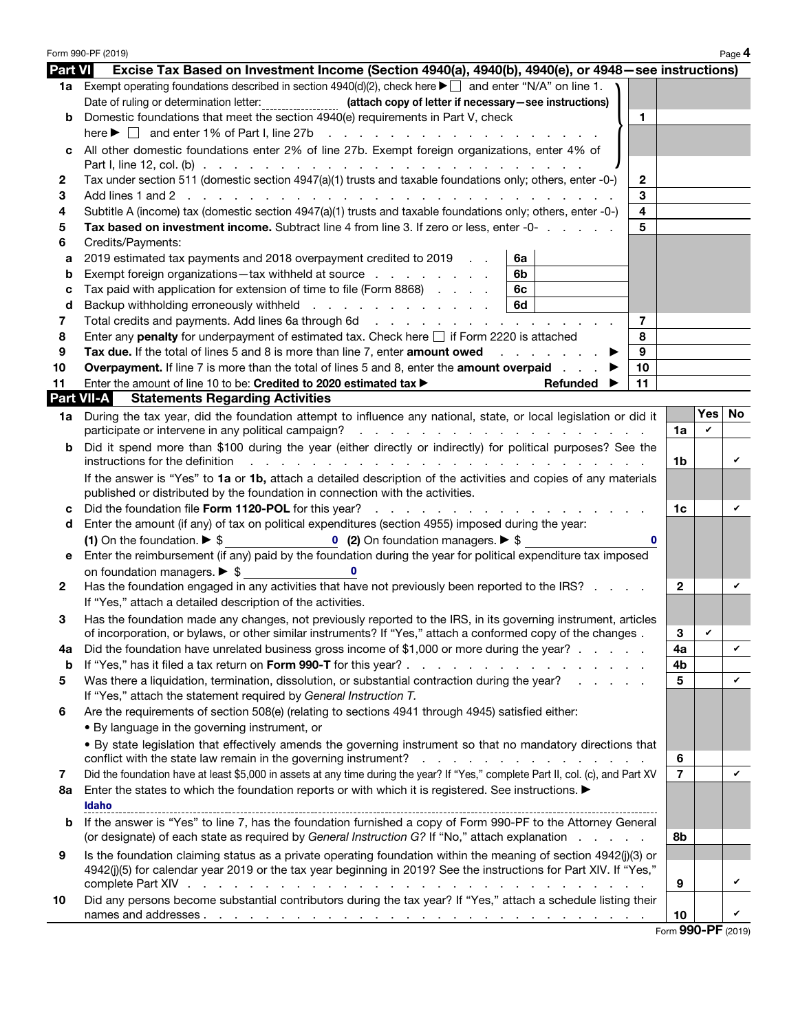|                   | Form 990-PF (2019)                                                                                                                                                                                                                 |                          |              | Page 4 |  |  |  |  |
|-------------------|------------------------------------------------------------------------------------------------------------------------------------------------------------------------------------------------------------------------------------|--------------------------|--------------|--------|--|--|--|--|
| <b>Part VI</b>    | Excise Tax Based on Investment Income (Section 4940(a), 4940(b), 4940(e), or 4948–see instructions)                                                                                                                                |                          |              |        |  |  |  |  |
|                   | 1a Exempt operating foundations described in section $4940(d)(2)$ , check here $\blacktriangleright \Box$ and enter "N/A" on line 1.                                                                                               |                          |              |        |  |  |  |  |
|                   | Date of ruling or determination letter:<br>(attach copy of letter if necessary-see instructions)                                                                                                                                   |                          |              |        |  |  |  |  |
| b                 | Domestic foundations that meet the section 4940(e) requirements in Part V, check<br>1                                                                                                                                              |                          |              |        |  |  |  |  |
|                   | here $\blacktriangleright \Box$ and enter 1% of Part I, line 27b                                                                                                                                                                   |                          |              |        |  |  |  |  |
| c                 | All other domestic foundations enter 2% of line 27b. Exempt foreign organizations, enter 4% of                                                                                                                                     |                          |              |        |  |  |  |  |
|                   |                                                                                                                                                                                                                                    |                          |              |        |  |  |  |  |
| 2                 | Tax under section 511 (domestic section 4947(a)(1) trusts and taxable foundations only; others, enter -0-)<br>$\mathbf{2}$                                                                                                         |                          |              |        |  |  |  |  |
| 3                 | 3                                                                                                                                                                                                                                  |                          |              |        |  |  |  |  |
| 4                 | $\overline{\mathbf{4}}$<br>Subtitle A (income) tax (domestic section 4947(a)(1) trusts and taxable foundations only; others, enter -0-)                                                                                            |                          |              |        |  |  |  |  |
| 5                 | 5<br>Tax based on investment income. Subtract line 4 from line 3. If zero or less, enter -0-                                                                                                                                       |                          |              |        |  |  |  |  |
| 6                 | Credits/Payments:                                                                                                                                                                                                                  |                          |              |        |  |  |  |  |
| a                 | 2019 estimated tax payments and 2018 overpayment credited to 2019<br>6a                                                                                                                                                            |                          |              |        |  |  |  |  |
| b                 | 6b<br>Exempt foreign organizations-tax withheld at source                                                                                                                                                                          |                          |              |        |  |  |  |  |
| с                 | Tax paid with application for extension of time to file (Form 8868)<br>6c                                                                                                                                                          |                          |              |        |  |  |  |  |
| d                 | Backup withholding erroneously withheld<br>6d                                                                                                                                                                                      |                          |              |        |  |  |  |  |
| 7                 | Total credits and payments. Add lines 6a through 6d<br>7                                                                                                                                                                           |                          |              |        |  |  |  |  |
| 8                 | 8<br>Enter any <b>penalty</b> for underpayment of estimated tax. Check here $\Box$ if Form 2220 is attached                                                                                                                        |                          |              |        |  |  |  |  |
| 9                 | 9<br>Tax due. If the total of lines 5 and 8 is more than line 7, enter amount owed<br>and a state of the state                                                                                                                     |                          |              |        |  |  |  |  |
| 10                | <b>Overpayment.</b> If line 7 is more than the total of lines 5 and 8, enter the <b>amount overpaid</b><br>10                                                                                                                      |                          |              |        |  |  |  |  |
| 11                | 11<br>Enter the amount of line 10 to be: Credited to 2020 estimated tax ><br>Refunded                                                                                                                                              |                          |              |        |  |  |  |  |
| <b>Part VII-A</b> | <b>Statements Regarding Activities</b>                                                                                                                                                                                             |                          |              |        |  |  |  |  |
|                   | 1a During the tax year, did the foundation attempt to influence any national, state, or local legislation or did it                                                                                                                |                          | Yes          | No.    |  |  |  |  |
|                   |                                                                                                                                                                                                                                    | 1a                       | V            |        |  |  |  |  |
| b                 | Did it spend more than \$100 during the year (either directly or indirectly) for political purposes? See the<br>instructions for the definition<br>the contract of the contract of the contract of the contract of the contract of | 1b                       |              | V      |  |  |  |  |
|                   | If the answer is "Yes" to 1a or 1b, attach a detailed description of the activities and copies of any materials                                                                                                                    |                          |              |        |  |  |  |  |
|                   | published or distributed by the foundation in connection with the activities.                                                                                                                                                      |                          |              |        |  |  |  |  |
| C                 | Did the foundation file Form 1120-POL for this year?                                                                                                                                                                               | 1c                       |              | v      |  |  |  |  |
| d                 | Enter the amount (if any) of tax on political expenditures (section 4955) imposed during the year:                                                                                                                                 |                          |              |        |  |  |  |  |
|                   | (1) On the foundation. $\triangleright$ \$<br>0 (2) On foundation managers. $\triangleright$ \$<br>$\mathbf 0$                                                                                                                     |                          |              |        |  |  |  |  |
| е                 | Enter the reimbursement (if any) paid by the foundation during the year for political expenditure tax imposed                                                                                                                      |                          |              |        |  |  |  |  |
|                   | on foundation managers. $\triangleright$ \$<br>$\Omega$                                                                                                                                                                            |                          |              |        |  |  |  |  |
| 2                 | Has the foundation engaged in any activities that have not previously been reported to the IRS?                                                                                                                                    | $\mathbf{2}$             |              |        |  |  |  |  |
|                   | If "Yes," attach a detailed description of the activities.                                                                                                                                                                         |                          |              |        |  |  |  |  |
| з                 | Has the foundation made any changes, not previously reported to the IRS, in its governing instrument, articles<br>of incorporation, or bylaws, or other similar instruments? If "Yes," attach a conformed copy of the changes.     | 3                        | $\mathbf{v}$ |        |  |  |  |  |
| 4a                | Did the foundation have unrelated business gross income of \$1,000 or more during the year?                                                                                                                                        | 4a                       |              | V      |  |  |  |  |
| b                 | If "Yes," has it filed a tax return on Form 990-T for this year?                                                                                                                                                                   | 4 <sub>b</sub>           |              |        |  |  |  |  |
| 5                 | Was there a liquidation, termination, dissolution, or substantial contraction during the year?                                                                                                                                     | 5                        |              | V      |  |  |  |  |
|                   | If "Yes," attach the statement required by General Instruction T.                                                                                                                                                                  |                          |              |        |  |  |  |  |
| 6                 | Are the requirements of section 508(e) (relating to sections 4941 through 4945) satisfied either:                                                                                                                                  |                          |              |        |  |  |  |  |
|                   | • By language in the governing instrument, or                                                                                                                                                                                      |                          |              |        |  |  |  |  |
|                   | . By state legislation that effectively amends the governing instrument so that no mandatory directions that                                                                                                                       |                          |              |        |  |  |  |  |
|                   |                                                                                                                                                                                                                                    | 6                        |              |        |  |  |  |  |
| 7                 | Did the foundation have at least \$5,000 in assets at any time during the year? If "Yes," complete Part II, col. (c), and Part XV                                                                                                  | $\overline{7}$           |              | V      |  |  |  |  |
| 8a                | Enter the states to which the foundation reports or with which it is registered. See instructions.                                                                                                                                 |                          |              |        |  |  |  |  |
|                   | Idaho                                                                                                                                                                                                                              |                          |              |        |  |  |  |  |
| b                 | If the answer is "Yes" to line 7, has the foundation furnished a copy of Form 990-PF to the Attorney General                                                                                                                       |                          |              |        |  |  |  |  |
|                   | (or designate) of each state as required by General Instruction G? If "No," attach explanation                                                                                                                                     | 8b                       |              |        |  |  |  |  |
| 9                 | Is the foundation claiming status as a private operating foundation within the meaning of section 4942(j)(3) or                                                                                                                    |                          |              |        |  |  |  |  |
|                   | 4942(j)(5) for calendar year 2019 or the tax year beginning in 2019? See the instructions for Part XIV. If "Yes,"                                                                                                                  |                          |              |        |  |  |  |  |
|                   |                                                                                                                                                                                                                                    | 9                        |              | V      |  |  |  |  |
| 10                | Did any persons become substantial contributors during the tax year? If "Yes," attach a schedule listing their                                                                                                                     |                          |              | V      |  |  |  |  |
|                   |                                                                                                                                                                                                                                    | 10<br>Form 990-PF (2019) |              |        |  |  |  |  |
|                   |                                                                                                                                                                                                                                    |                          |              |        |  |  |  |  |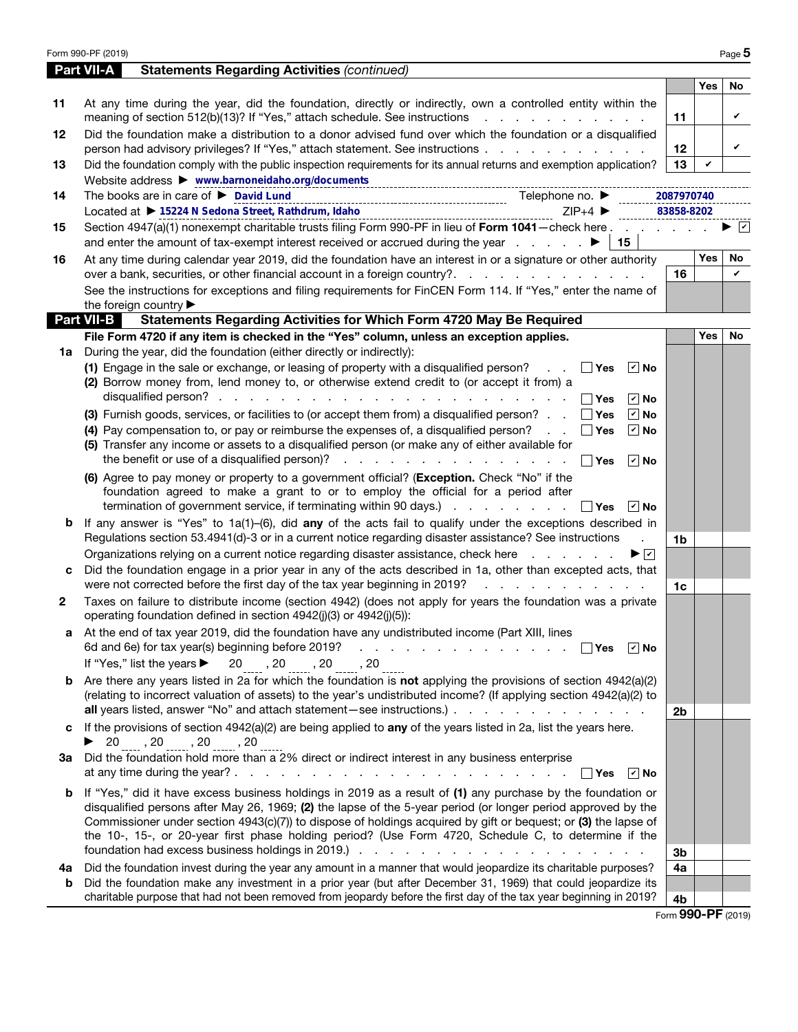| <b>Part VII-A</b><br>Yes<br>At any time during the year, did the foundation, directly or indirectly, own a controlled entity within the<br>11<br>meaning of section 512(b)(13)? If "Yes," attach schedule. See instructions<br>11<br>Did the foundation make a distribution to a donor advised fund over which the foundation or a disqualified<br>12<br>person had advisory privileges? If "Yes," attach statement. See instructions<br>12 <sub>2</sub><br>13<br>Did the foundation comply with the public inspection requirements for its annual returns and exemption application?<br>V<br>13<br>Website address > www.barnoneidaho.org/documents<br>The books are in care of ▶ David Lund<br>Telephone no. $\blacktriangleright$<br>2087970740<br>14<br>Located at ▶ 15224 N Sedona Street, Rathdrum, Idaho<br>$ZIP+4$<br>83858-8202<br>Section 4947(a)(1) nonexempt charitable trusts filing Form 990-PF in lieu of Form 1041 - check here<br>15<br>$\vert$ 15<br>Yes<br>At any time during calendar year 2019, did the foundation have an interest in or a signature or other authority<br>16<br>over a bank, securities, or other financial account in a foreign country?<br>16<br>See the instructions for exceptions and filing requirements for FinCEN Form 114. If "Yes," enter the name of<br>the foreign country ▶<br>Part VII-B<br><b>Statements Regarding Activities for Which Form 4720 May Be Required</b><br>File Form 4720 if any item is checked in the "Yes" column, unless an exception applies.<br>Yes<br>During the year, did the foundation (either directly or indirectly):<br>1a<br>(1) Engage in the sale or exchange, or leasing of property with a disqualified person?<br>│ Yes<br>$ v $ No<br>$\sim 100$ km s $^{-1}$<br>(2) Borrow money from, lend money to, or otherwise extend credit to (or accept it from) a<br>∣ ∣Yes<br>$ v $ No<br>$\boxed{v}$ No<br>(3) Furnish goods, services, or facilities to (or accept them from) a disqualified person? $\Box$ Tres<br>(4) Pay compensation to, or pay or reimburse the expenses of, a disqualified person?<br>$\boxed{v}$ No<br>│ Yes<br>(5) Transfer any income or assets to a disqualified person (or make any of either available for<br>$\Box$ Yes<br>$\vee$ No<br>(6) Agree to pay money or property to a government official? (Exception. Check "No" if the<br>foundation agreed to make a grant to or to employ the official for a period after<br>termination of government service, if terminating within 90 days.) $\ldots$ $\ldots$ $\ldots$ $\Box$ Yes<br>∣r∣ No<br>If any answer is "Yes" to $1a(1)$ -(6), did any of the acts fail to qualify under the exceptions described in<br>b<br>Regulations section 53.4941(d)-3 or in a current notice regarding disaster assistance? See instructions<br>$\mathbf{r}$<br>1b<br>Organizations relying on a current notice regarding disaster assistance, check here<br>▶☑<br>Did the foundation engage in a prior year in any of the acts described in 1a, other than excepted acts, that<br>c<br>were not corrected before the first day of the tax year beginning in 2019?<br>and the contract of the contract of<br>1c<br>Taxes on failure to distribute income (section 4942) (does not apply for years the foundation was a private<br>$\mathbf{2}$<br>operating foundation defined in section 4942(j)(3) or 4942(j)(5)):<br>At the end of tax year 2019, did the foundation have any undistributed income (Part XIII, lines<br>6d and 6e) for tax year(s) beginning before 2019?<br>and a series of the contract of the contract of the<br>│ │Yes │ I∕ │No<br>If "Yes," list the years $\blacktriangleright$<br>$20$ , $20$ , $20$ , $20$ , $20$<br><b>b</b> Are there any years listed in 2a for which the foundation is not applying the provisions of section $4942(a)(2)$<br>(relating to incorrect valuation of assets) to the year's undistributed income? (If applying section 4942(a)(2) to<br>2 <sub>b</sub><br>If the provisions of section $4942(a)(2)$ are being applied to any of the years listed in 2a, list the years here.<br>C<br>▶ 20 _____, 20 _____, 20 _____, 20<br>3a Did the foundation hold more than a 2% direct or indirect interest in any business enterprise<br>$\sqrt{ }$ No<br>∣ ∣Yes<br><b>b</b> If "Yes," did it have excess business holdings in 2019 as a result of (1) any purchase by the foundation or<br>disqualified persons after May 26, 1969; (2) the lapse of the 5-year period (or longer period approved by the<br>Commissioner under section 4943(c)(7)) to dispose of holdings acquired by gift or bequest; or (3) the lapse of<br>the 10-, 15-, or 20-year first phase holding period? (Use Form 4720, Schedule C, to determine if the<br>3b<br>Did the foundation invest during the year any amount in a manner that would jeopardize its charitable purposes?<br>4a<br>4a<br>Did the foundation make any investment in a prior year (but after December 31, 1969) that could jeopardize its<br>b<br>charitable purpose that had not been removed from jeopardy before the first day of the tax year beginning in 2019?<br>4b<br>Form 990-PF (2019) | Form 990-PF (2019)                                 |  | Page 5               |
|-------------------------------------------------------------------------------------------------------------------------------------------------------------------------------------------------------------------------------------------------------------------------------------------------------------------------------------------------------------------------------------------------------------------------------------------------------------------------------------------------------------------------------------------------------------------------------------------------------------------------------------------------------------------------------------------------------------------------------------------------------------------------------------------------------------------------------------------------------------------------------------------------------------------------------------------------------------------------------------------------------------------------------------------------------------------------------------------------------------------------------------------------------------------------------------------------------------------------------------------------------------------------------------------------------------------------------------------------------------------------------------------------------------------------------------------------------------------------------------------------------------------------------------------------------------------------------------------------------------------------------------------------------------------------------------------------------------------------------------------------------------------------------------------------------------------------------------------------------------------------------------------------------------------------------------------------------------------------------------------------------------------------------------------------------------------------------------------------------------------------------------------------------------------------------------------------------------------------------------------------------------------------------------------------------------------------------------------------------------------------------------------------------------------------------------------------------------------------------------------------------------------------------------------------------------------------------------------------------------------------------------------------------------------------------------------------------------------------------------------------------------------------------------------------------------------------------------------------------------------------------------------------------------------------------------------------------------------------------------------------------------------------------------------------------------------------------------------------------------------------------------------------------------------------------------------------------------------------------------------------------------------------------------------------------------------------------------------------------------------------------------------------------------------------------------------------------------------------------------------------------------------------------------------------------------------------------------------------------------------------------------------------------------------------------------------------------------------------------------------------------------------------------------------------------------------------------------------------------------------------------------------------------------------------------------------------------------------------------------------------------------------------------------------------------------------------------------------------------------------------------------------------------------------------------------------------------------------------------------------------------------------------------------------------------------------------------------------------------------------------------------------------------------------------------------------------------------------------------------------------------------------------------------------------------------------------------------------------------------------------------------------------------------------------------------------------------------------------------------------------------------------------------------------------------------------------------------------------------------------------------------------------------------------------------------------------------------------------------------------------------------------------------------------------------------------------------------------------------------------------------------------------------|----------------------------------------------------|--|----------------------|
|                                                                                                                                                                                                                                                                                                                                                                                                                                                                                                                                                                                                                                                                                                                                                                                                                                                                                                                                                                                                                                                                                                                                                                                                                                                                                                                                                                                                                                                                                                                                                                                                                                                                                                                                                                                                                                                                                                                                                                                                                                                                                                                                                                                                                                                                                                                                                                                                                                                                                                                                                                                                                                                                                                                                                                                                                                                                                                                                                                                                                                                                                                                                                                                                                                                                                                                                                                                                                                                                                                                                                                                                                                                                                                                                                                                                                                                                                                                                                                                                                                                                                                                                                                                                                                                                                                                                                                                                                                                                                                                                                                                                                                                                                                                                                                                                                                                                                                                                                                                                                                                                                                                                                       | <b>Statements Regarding Activities (continued)</b> |  |                      |
|                                                                                                                                                                                                                                                                                                                                                                                                                                                                                                                                                                                                                                                                                                                                                                                                                                                                                                                                                                                                                                                                                                                                                                                                                                                                                                                                                                                                                                                                                                                                                                                                                                                                                                                                                                                                                                                                                                                                                                                                                                                                                                                                                                                                                                                                                                                                                                                                                                                                                                                                                                                                                                                                                                                                                                                                                                                                                                                                                                                                                                                                                                                                                                                                                                                                                                                                                                                                                                                                                                                                                                                                                                                                                                                                                                                                                                                                                                                                                                                                                                                                                                                                                                                                                                                                                                                                                                                                                                                                                                                                                                                                                                                                                                                                                                                                                                                                                                                                                                                                                                                                                                                                                       |                                                    |  | No                   |
|                                                                                                                                                                                                                                                                                                                                                                                                                                                                                                                                                                                                                                                                                                                                                                                                                                                                                                                                                                                                                                                                                                                                                                                                                                                                                                                                                                                                                                                                                                                                                                                                                                                                                                                                                                                                                                                                                                                                                                                                                                                                                                                                                                                                                                                                                                                                                                                                                                                                                                                                                                                                                                                                                                                                                                                                                                                                                                                                                                                                                                                                                                                                                                                                                                                                                                                                                                                                                                                                                                                                                                                                                                                                                                                                                                                                                                                                                                                                                                                                                                                                                                                                                                                                                                                                                                                                                                                                                                                                                                                                                                                                                                                                                                                                                                                                                                                                                                                                                                                                                                                                                                                                                       |                                                    |  | V                    |
|                                                                                                                                                                                                                                                                                                                                                                                                                                                                                                                                                                                                                                                                                                                                                                                                                                                                                                                                                                                                                                                                                                                                                                                                                                                                                                                                                                                                                                                                                                                                                                                                                                                                                                                                                                                                                                                                                                                                                                                                                                                                                                                                                                                                                                                                                                                                                                                                                                                                                                                                                                                                                                                                                                                                                                                                                                                                                                                                                                                                                                                                                                                                                                                                                                                                                                                                                                                                                                                                                                                                                                                                                                                                                                                                                                                                                                                                                                                                                                                                                                                                                                                                                                                                                                                                                                                                                                                                                                                                                                                                                                                                                                                                                                                                                                                                                                                                                                                                                                                                                                                                                                                                                       |                                                    |  | V                    |
|                                                                                                                                                                                                                                                                                                                                                                                                                                                                                                                                                                                                                                                                                                                                                                                                                                                                                                                                                                                                                                                                                                                                                                                                                                                                                                                                                                                                                                                                                                                                                                                                                                                                                                                                                                                                                                                                                                                                                                                                                                                                                                                                                                                                                                                                                                                                                                                                                                                                                                                                                                                                                                                                                                                                                                                                                                                                                                                                                                                                                                                                                                                                                                                                                                                                                                                                                                                                                                                                                                                                                                                                                                                                                                                                                                                                                                                                                                                                                                                                                                                                                                                                                                                                                                                                                                                                                                                                                                                                                                                                                                                                                                                                                                                                                                                                                                                                                                                                                                                                                                                                                                                                                       |                                                    |  |                      |
|                                                                                                                                                                                                                                                                                                                                                                                                                                                                                                                                                                                                                                                                                                                                                                                                                                                                                                                                                                                                                                                                                                                                                                                                                                                                                                                                                                                                                                                                                                                                                                                                                                                                                                                                                                                                                                                                                                                                                                                                                                                                                                                                                                                                                                                                                                                                                                                                                                                                                                                                                                                                                                                                                                                                                                                                                                                                                                                                                                                                                                                                                                                                                                                                                                                                                                                                                                                                                                                                                                                                                                                                                                                                                                                                                                                                                                                                                                                                                                                                                                                                                                                                                                                                                                                                                                                                                                                                                                                                                                                                                                                                                                                                                                                                                                                                                                                                                                                                                                                                                                                                                                                                                       |                                                    |  |                      |
|                                                                                                                                                                                                                                                                                                                                                                                                                                                                                                                                                                                                                                                                                                                                                                                                                                                                                                                                                                                                                                                                                                                                                                                                                                                                                                                                                                                                                                                                                                                                                                                                                                                                                                                                                                                                                                                                                                                                                                                                                                                                                                                                                                                                                                                                                                                                                                                                                                                                                                                                                                                                                                                                                                                                                                                                                                                                                                                                                                                                                                                                                                                                                                                                                                                                                                                                                                                                                                                                                                                                                                                                                                                                                                                                                                                                                                                                                                                                                                                                                                                                                                                                                                                                                                                                                                                                                                                                                                                                                                                                                                                                                                                                                                                                                                                                                                                                                                                                                                                                                                                                                                                                                       |                                                    |  | $\blacktriangledown$ |
|                                                                                                                                                                                                                                                                                                                                                                                                                                                                                                                                                                                                                                                                                                                                                                                                                                                                                                                                                                                                                                                                                                                                                                                                                                                                                                                                                                                                                                                                                                                                                                                                                                                                                                                                                                                                                                                                                                                                                                                                                                                                                                                                                                                                                                                                                                                                                                                                                                                                                                                                                                                                                                                                                                                                                                                                                                                                                                                                                                                                                                                                                                                                                                                                                                                                                                                                                                                                                                                                                                                                                                                                                                                                                                                                                                                                                                                                                                                                                                                                                                                                                                                                                                                                                                                                                                                                                                                                                                                                                                                                                                                                                                                                                                                                                                                                                                                                                                                                                                                                                                                                                                                                                       |                                                    |  | No                   |
|                                                                                                                                                                                                                                                                                                                                                                                                                                                                                                                                                                                                                                                                                                                                                                                                                                                                                                                                                                                                                                                                                                                                                                                                                                                                                                                                                                                                                                                                                                                                                                                                                                                                                                                                                                                                                                                                                                                                                                                                                                                                                                                                                                                                                                                                                                                                                                                                                                                                                                                                                                                                                                                                                                                                                                                                                                                                                                                                                                                                                                                                                                                                                                                                                                                                                                                                                                                                                                                                                                                                                                                                                                                                                                                                                                                                                                                                                                                                                                                                                                                                                                                                                                                                                                                                                                                                                                                                                                                                                                                                                                                                                                                                                                                                                                                                                                                                                                                                                                                                                                                                                                                                                       |                                                    |  | $\checkmark$         |
|                                                                                                                                                                                                                                                                                                                                                                                                                                                                                                                                                                                                                                                                                                                                                                                                                                                                                                                                                                                                                                                                                                                                                                                                                                                                                                                                                                                                                                                                                                                                                                                                                                                                                                                                                                                                                                                                                                                                                                                                                                                                                                                                                                                                                                                                                                                                                                                                                                                                                                                                                                                                                                                                                                                                                                                                                                                                                                                                                                                                                                                                                                                                                                                                                                                                                                                                                                                                                                                                                                                                                                                                                                                                                                                                                                                                                                                                                                                                                                                                                                                                                                                                                                                                                                                                                                                                                                                                                                                                                                                                                                                                                                                                                                                                                                                                                                                                                                                                                                                                                                                                                                                                                       |                                                    |  |                      |
|                                                                                                                                                                                                                                                                                                                                                                                                                                                                                                                                                                                                                                                                                                                                                                                                                                                                                                                                                                                                                                                                                                                                                                                                                                                                                                                                                                                                                                                                                                                                                                                                                                                                                                                                                                                                                                                                                                                                                                                                                                                                                                                                                                                                                                                                                                                                                                                                                                                                                                                                                                                                                                                                                                                                                                                                                                                                                                                                                                                                                                                                                                                                                                                                                                                                                                                                                                                                                                                                                                                                                                                                                                                                                                                                                                                                                                                                                                                                                                                                                                                                                                                                                                                                                                                                                                                                                                                                                                                                                                                                                                                                                                                                                                                                                                                                                                                                                                                                                                                                                                                                                                                                                       |                                                    |  |                      |
|                                                                                                                                                                                                                                                                                                                                                                                                                                                                                                                                                                                                                                                                                                                                                                                                                                                                                                                                                                                                                                                                                                                                                                                                                                                                                                                                                                                                                                                                                                                                                                                                                                                                                                                                                                                                                                                                                                                                                                                                                                                                                                                                                                                                                                                                                                                                                                                                                                                                                                                                                                                                                                                                                                                                                                                                                                                                                                                                                                                                                                                                                                                                                                                                                                                                                                                                                                                                                                                                                                                                                                                                                                                                                                                                                                                                                                                                                                                                                                                                                                                                                                                                                                                                                                                                                                                                                                                                                                                                                                                                                                                                                                                                                                                                                                                                                                                                                                                                                                                                                                                                                                                                                       |                                                    |  | <b>No</b>            |
|                                                                                                                                                                                                                                                                                                                                                                                                                                                                                                                                                                                                                                                                                                                                                                                                                                                                                                                                                                                                                                                                                                                                                                                                                                                                                                                                                                                                                                                                                                                                                                                                                                                                                                                                                                                                                                                                                                                                                                                                                                                                                                                                                                                                                                                                                                                                                                                                                                                                                                                                                                                                                                                                                                                                                                                                                                                                                                                                                                                                                                                                                                                                                                                                                                                                                                                                                                                                                                                                                                                                                                                                                                                                                                                                                                                                                                                                                                                                                                                                                                                                                                                                                                                                                                                                                                                                                                                                                                                                                                                                                                                                                                                                                                                                                                                                                                                                                                                                                                                                                                                                                                                                                       |                                                    |  |                      |
|                                                                                                                                                                                                                                                                                                                                                                                                                                                                                                                                                                                                                                                                                                                                                                                                                                                                                                                                                                                                                                                                                                                                                                                                                                                                                                                                                                                                                                                                                                                                                                                                                                                                                                                                                                                                                                                                                                                                                                                                                                                                                                                                                                                                                                                                                                                                                                                                                                                                                                                                                                                                                                                                                                                                                                                                                                                                                                                                                                                                                                                                                                                                                                                                                                                                                                                                                                                                                                                                                                                                                                                                                                                                                                                                                                                                                                                                                                                                                                                                                                                                                                                                                                                                                                                                                                                                                                                                                                                                                                                                                                                                                                                                                                                                                                                                                                                                                                                                                                                                                                                                                                                                                       |                                                    |  |                      |
|                                                                                                                                                                                                                                                                                                                                                                                                                                                                                                                                                                                                                                                                                                                                                                                                                                                                                                                                                                                                                                                                                                                                                                                                                                                                                                                                                                                                                                                                                                                                                                                                                                                                                                                                                                                                                                                                                                                                                                                                                                                                                                                                                                                                                                                                                                                                                                                                                                                                                                                                                                                                                                                                                                                                                                                                                                                                                                                                                                                                                                                                                                                                                                                                                                                                                                                                                                                                                                                                                                                                                                                                                                                                                                                                                                                                                                                                                                                                                                                                                                                                                                                                                                                                                                                                                                                                                                                                                                                                                                                                                                                                                                                                                                                                                                                                                                                                                                                                                                                                                                                                                                                                                       |                                                    |  |                      |
|                                                                                                                                                                                                                                                                                                                                                                                                                                                                                                                                                                                                                                                                                                                                                                                                                                                                                                                                                                                                                                                                                                                                                                                                                                                                                                                                                                                                                                                                                                                                                                                                                                                                                                                                                                                                                                                                                                                                                                                                                                                                                                                                                                                                                                                                                                                                                                                                                                                                                                                                                                                                                                                                                                                                                                                                                                                                                                                                                                                                                                                                                                                                                                                                                                                                                                                                                                                                                                                                                                                                                                                                                                                                                                                                                                                                                                                                                                                                                                                                                                                                                                                                                                                                                                                                                                                                                                                                                                                                                                                                                                                                                                                                                                                                                                                                                                                                                                                                                                                                                                                                                                                                                       |                                                    |  |                      |
|                                                                                                                                                                                                                                                                                                                                                                                                                                                                                                                                                                                                                                                                                                                                                                                                                                                                                                                                                                                                                                                                                                                                                                                                                                                                                                                                                                                                                                                                                                                                                                                                                                                                                                                                                                                                                                                                                                                                                                                                                                                                                                                                                                                                                                                                                                                                                                                                                                                                                                                                                                                                                                                                                                                                                                                                                                                                                                                                                                                                                                                                                                                                                                                                                                                                                                                                                                                                                                                                                                                                                                                                                                                                                                                                                                                                                                                                                                                                                                                                                                                                                                                                                                                                                                                                                                                                                                                                                                                                                                                                                                                                                                                                                                                                                                                                                                                                                                                                                                                                                                                                                                                                                       |                                                    |  |                      |
|                                                                                                                                                                                                                                                                                                                                                                                                                                                                                                                                                                                                                                                                                                                                                                                                                                                                                                                                                                                                                                                                                                                                                                                                                                                                                                                                                                                                                                                                                                                                                                                                                                                                                                                                                                                                                                                                                                                                                                                                                                                                                                                                                                                                                                                                                                                                                                                                                                                                                                                                                                                                                                                                                                                                                                                                                                                                                                                                                                                                                                                                                                                                                                                                                                                                                                                                                                                                                                                                                                                                                                                                                                                                                                                                                                                                                                                                                                                                                                                                                                                                                                                                                                                                                                                                                                                                                                                                                                                                                                                                                                                                                                                                                                                                                                                                                                                                                                                                                                                                                                                                                                                                                       |                                                    |  |                      |
|                                                                                                                                                                                                                                                                                                                                                                                                                                                                                                                                                                                                                                                                                                                                                                                                                                                                                                                                                                                                                                                                                                                                                                                                                                                                                                                                                                                                                                                                                                                                                                                                                                                                                                                                                                                                                                                                                                                                                                                                                                                                                                                                                                                                                                                                                                                                                                                                                                                                                                                                                                                                                                                                                                                                                                                                                                                                                                                                                                                                                                                                                                                                                                                                                                                                                                                                                                                                                                                                                                                                                                                                                                                                                                                                                                                                                                                                                                                                                                                                                                                                                                                                                                                                                                                                                                                                                                                                                                                                                                                                                                                                                                                                                                                                                                                                                                                                                                                                                                                                                                                                                                                                                       |                                                    |  |                      |
|                                                                                                                                                                                                                                                                                                                                                                                                                                                                                                                                                                                                                                                                                                                                                                                                                                                                                                                                                                                                                                                                                                                                                                                                                                                                                                                                                                                                                                                                                                                                                                                                                                                                                                                                                                                                                                                                                                                                                                                                                                                                                                                                                                                                                                                                                                                                                                                                                                                                                                                                                                                                                                                                                                                                                                                                                                                                                                                                                                                                                                                                                                                                                                                                                                                                                                                                                                                                                                                                                                                                                                                                                                                                                                                                                                                                                                                                                                                                                                                                                                                                                                                                                                                                                                                                                                                                                                                                                                                                                                                                                                                                                                                                                                                                                                                                                                                                                                                                                                                                                                                                                                                                                       |                                                    |  |                      |
|                                                                                                                                                                                                                                                                                                                                                                                                                                                                                                                                                                                                                                                                                                                                                                                                                                                                                                                                                                                                                                                                                                                                                                                                                                                                                                                                                                                                                                                                                                                                                                                                                                                                                                                                                                                                                                                                                                                                                                                                                                                                                                                                                                                                                                                                                                                                                                                                                                                                                                                                                                                                                                                                                                                                                                                                                                                                                                                                                                                                                                                                                                                                                                                                                                                                                                                                                                                                                                                                                                                                                                                                                                                                                                                                                                                                                                                                                                                                                                                                                                                                                                                                                                                                                                                                                                                                                                                                                                                                                                                                                                                                                                                                                                                                                                                                                                                                                                                                                                                                                                                                                                                                                       |                                                    |  |                      |
|                                                                                                                                                                                                                                                                                                                                                                                                                                                                                                                                                                                                                                                                                                                                                                                                                                                                                                                                                                                                                                                                                                                                                                                                                                                                                                                                                                                                                                                                                                                                                                                                                                                                                                                                                                                                                                                                                                                                                                                                                                                                                                                                                                                                                                                                                                                                                                                                                                                                                                                                                                                                                                                                                                                                                                                                                                                                                                                                                                                                                                                                                                                                                                                                                                                                                                                                                                                                                                                                                                                                                                                                                                                                                                                                                                                                                                                                                                                                                                                                                                                                                                                                                                                                                                                                                                                                                                                                                                                                                                                                                                                                                                                                                                                                                                                                                                                                                                                                                                                                                                                                                                                                                       |                                                    |  |                      |
|                                                                                                                                                                                                                                                                                                                                                                                                                                                                                                                                                                                                                                                                                                                                                                                                                                                                                                                                                                                                                                                                                                                                                                                                                                                                                                                                                                                                                                                                                                                                                                                                                                                                                                                                                                                                                                                                                                                                                                                                                                                                                                                                                                                                                                                                                                                                                                                                                                                                                                                                                                                                                                                                                                                                                                                                                                                                                                                                                                                                                                                                                                                                                                                                                                                                                                                                                                                                                                                                                                                                                                                                                                                                                                                                                                                                                                                                                                                                                                                                                                                                                                                                                                                                                                                                                                                                                                                                                                                                                                                                                                                                                                                                                                                                                                                                                                                                                                                                                                                                                                                                                                                                                       |                                                    |  |                      |
|                                                                                                                                                                                                                                                                                                                                                                                                                                                                                                                                                                                                                                                                                                                                                                                                                                                                                                                                                                                                                                                                                                                                                                                                                                                                                                                                                                                                                                                                                                                                                                                                                                                                                                                                                                                                                                                                                                                                                                                                                                                                                                                                                                                                                                                                                                                                                                                                                                                                                                                                                                                                                                                                                                                                                                                                                                                                                                                                                                                                                                                                                                                                                                                                                                                                                                                                                                                                                                                                                                                                                                                                                                                                                                                                                                                                                                                                                                                                                                                                                                                                                                                                                                                                                                                                                                                                                                                                                                                                                                                                                                                                                                                                                                                                                                                                                                                                                                                                                                                                                                                                                                                                                       |                                                    |  |                      |
|                                                                                                                                                                                                                                                                                                                                                                                                                                                                                                                                                                                                                                                                                                                                                                                                                                                                                                                                                                                                                                                                                                                                                                                                                                                                                                                                                                                                                                                                                                                                                                                                                                                                                                                                                                                                                                                                                                                                                                                                                                                                                                                                                                                                                                                                                                                                                                                                                                                                                                                                                                                                                                                                                                                                                                                                                                                                                                                                                                                                                                                                                                                                                                                                                                                                                                                                                                                                                                                                                                                                                                                                                                                                                                                                                                                                                                                                                                                                                                                                                                                                                                                                                                                                                                                                                                                                                                                                                                                                                                                                                                                                                                                                                                                                                                                                                                                                                                                                                                                                                                                                                                                                                       |                                                    |  |                      |
|                                                                                                                                                                                                                                                                                                                                                                                                                                                                                                                                                                                                                                                                                                                                                                                                                                                                                                                                                                                                                                                                                                                                                                                                                                                                                                                                                                                                                                                                                                                                                                                                                                                                                                                                                                                                                                                                                                                                                                                                                                                                                                                                                                                                                                                                                                                                                                                                                                                                                                                                                                                                                                                                                                                                                                                                                                                                                                                                                                                                                                                                                                                                                                                                                                                                                                                                                                                                                                                                                                                                                                                                                                                                                                                                                                                                                                                                                                                                                                                                                                                                                                                                                                                                                                                                                                                                                                                                                                                                                                                                                                                                                                                                                                                                                                                                                                                                                                                                                                                                                                                                                                                                                       |                                                    |  |                      |
|                                                                                                                                                                                                                                                                                                                                                                                                                                                                                                                                                                                                                                                                                                                                                                                                                                                                                                                                                                                                                                                                                                                                                                                                                                                                                                                                                                                                                                                                                                                                                                                                                                                                                                                                                                                                                                                                                                                                                                                                                                                                                                                                                                                                                                                                                                                                                                                                                                                                                                                                                                                                                                                                                                                                                                                                                                                                                                                                                                                                                                                                                                                                                                                                                                                                                                                                                                                                                                                                                                                                                                                                                                                                                                                                                                                                                                                                                                                                                                                                                                                                                                                                                                                                                                                                                                                                                                                                                                                                                                                                                                                                                                                                                                                                                                                                                                                                                                                                                                                                                                                                                                                                                       |                                                    |  |                      |
|                                                                                                                                                                                                                                                                                                                                                                                                                                                                                                                                                                                                                                                                                                                                                                                                                                                                                                                                                                                                                                                                                                                                                                                                                                                                                                                                                                                                                                                                                                                                                                                                                                                                                                                                                                                                                                                                                                                                                                                                                                                                                                                                                                                                                                                                                                                                                                                                                                                                                                                                                                                                                                                                                                                                                                                                                                                                                                                                                                                                                                                                                                                                                                                                                                                                                                                                                                                                                                                                                                                                                                                                                                                                                                                                                                                                                                                                                                                                                                                                                                                                                                                                                                                                                                                                                                                                                                                                                                                                                                                                                                                                                                                                                                                                                                                                                                                                                                                                                                                                                                                                                                                                                       |                                                    |  |                      |
|                                                                                                                                                                                                                                                                                                                                                                                                                                                                                                                                                                                                                                                                                                                                                                                                                                                                                                                                                                                                                                                                                                                                                                                                                                                                                                                                                                                                                                                                                                                                                                                                                                                                                                                                                                                                                                                                                                                                                                                                                                                                                                                                                                                                                                                                                                                                                                                                                                                                                                                                                                                                                                                                                                                                                                                                                                                                                                                                                                                                                                                                                                                                                                                                                                                                                                                                                                                                                                                                                                                                                                                                                                                                                                                                                                                                                                                                                                                                                                                                                                                                                                                                                                                                                                                                                                                                                                                                                                                                                                                                                                                                                                                                                                                                                                                                                                                                                                                                                                                                                                                                                                                                                       |                                                    |  |                      |
|                                                                                                                                                                                                                                                                                                                                                                                                                                                                                                                                                                                                                                                                                                                                                                                                                                                                                                                                                                                                                                                                                                                                                                                                                                                                                                                                                                                                                                                                                                                                                                                                                                                                                                                                                                                                                                                                                                                                                                                                                                                                                                                                                                                                                                                                                                                                                                                                                                                                                                                                                                                                                                                                                                                                                                                                                                                                                                                                                                                                                                                                                                                                                                                                                                                                                                                                                                                                                                                                                                                                                                                                                                                                                                                                                                                                                                                                                                                                                                                                                                                                                                                                                                                                                                                                                                                                                                                                                                                                                                                                                                                                                                                                                                                                                                                                                                                                                                                                                                                                                                                                                                                                                       |                                                    |  |                      |
|                                                                                                                                                                                                                                                                                                                                                                                                                                                                                                                                                                                                                                                                                                                                                                                                                                                                                                                                                                                                                                                                                                                                                                                                                                                                                                                                                                                                                                                                                                                                                                                                                                                                                                                                                                                                                                                                                                                                                                                                                                                                                                                                                                                                                                                                                                                                                                                                                                                                                                                                                                                                                                                                                                                                                                                                                                                                                                                                                                                                                                                                                                                                                                                                                                                                                                                                                                                                                                                                                                                                                                                                                                                                                                                                                                                                                                                                                                                                                                                                                                                                                                                                                                                                                                                                                                                                                                                                                                                                                                                                                                                                                                                                                                                                                                                                                                                                                                                                                                                                                                                                                                                                                       |                                                    |  |                      |
|                                                                                                                                                                                                                                                                                                                                                                                                                                                                                                                                                                                                                                                                                                                                                                                                                                                                                                                                                                                                                                                                                                                                                                                                                                                                                                                                                                                                                                                                                                                                                                                                                                                                                                                                                                                                                                                                                                                                                                                                                                                                                                                                                                                                                                                                                                                                                                                                                                                                                                                                                                                                                                                                                                                                                                                                                                                                                                                                                                                                                                                                                                                                                                                                                                                                                                                                                                                                                                                                                                                                                                                                                                                                                                                                                                                                                                                                                                                                                                                                                                                                                                                                                                                                                                                                                                                                                                                                                                                                                                                                                                                                                                                                                                                                                                                                                                                                                                                                                                                                                                                                                                                                                       |                                                    |  |                      |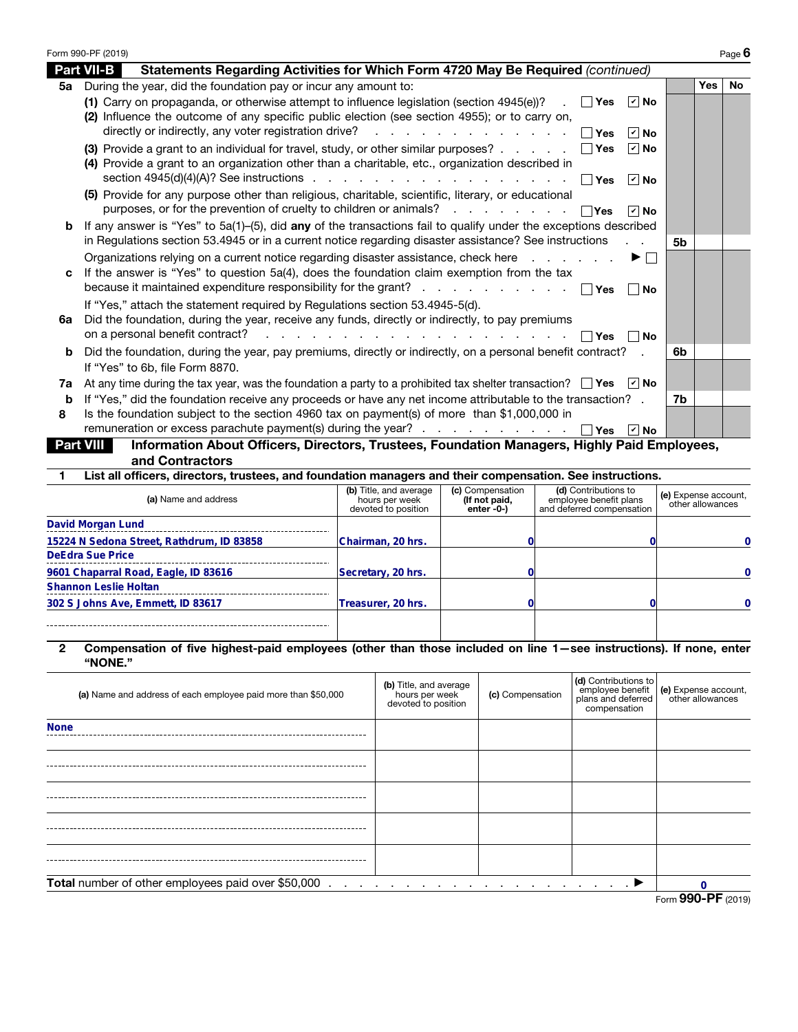|    | Form 990-PF (2019)                                                                                                                                                                                                                                                                                                                                       |                |            | Page $6$  |
|----|----------------------------------------------------------------------------------------------------------------------------------------------------------------------------------------------------------------------------------------------------------------------------------------------------------------------------------------------------------|----------------|------------|-----------|
|    | <b>Part VII-B</b><br>Statements Regarding Activities for Which Form 4720 May Be Required (continued)                                                                                                                                                                                                                                                     |                |            |           |
| 5а | During the year, did the foundation pay or incur any amount to:                                                                                                                                                                                                                                                                                          |                | <b>Yes</b> | <b>No</b> |
|    | (1) Carry on propaganda, or otherwise attempt to influence legislation (section 4945(e))? $\blacksquare$<br>∣r∣No<br>(2) Influence the outcome of any specific public election (see section 4955); or to carry on,<br>directly or indirectly, any voter registration drive? $\ldots$ $\ldots$ $\ldots$ $\ldots$ $\ldots$ $\ldots$ $\Box$ Yes<br>$ v $ No |                |            |           |
|    | (3) Provide a grant to an individual for travel, study, or other similar purposes? $\ldots$ $\ldots$ $\Box$ Yes<br>$ v $ No<br>(4) Provide a grant to an organization other than a charitable, etc., organization described in<br>$ v $ No                                                                                                               |                |            |           |
|    | (5) Provide for any purpose other than religious, charitable, scientific, literary, or educational<br>purposes, or for the prevention of cruelty to children or animals? $\ldots$ $\ldots$ $\ldots$ $\Box$ Yes<br>$ v $ No                                                                                                                               |                |            |           |
| b  | If any answer is "Yes" to $5a(1)$ –(5), did any of the transactions fail to qualify under the exceptions described<br>in Regulations section 53.4945 or in a current notice regarding disaster assistance? See instructions                                                                                                                              | 5 <sub>b</sub> |            |           |
| C  | Organizations relying on a current notice regarding disaster assistance, check here<br>▶ │ │<br>If the answer is "Yes" to question 5a(4), does the foundation claim exemption from the tax<br>because it maintained expenditure responsibility for the grant? $\Box$ Yes<br>∣ ∣No                                                                        |                |            |           |
| 6a | If "Yes," attach the statement required by Regulations section 53.4945-5(d).<br>Did the foundation, during the year, receive any funds, directly or indirectly, to pay premiums<br>l Yes<br>∣ ∣No                                                                                                                                                        |                |            |           |
| b  | Did the foundation, during the year, pay premiums, directly or indirectly, on a personal benefit contract?<br>If "Yes" to 6b, file Form 8870.                                                                                                                                                                                                            | 6b             |            |           |
| 7a | At any time during the tax year, was the foundation a party to a prohibited tax shelter transaction? $\Box$ Yes $\Box$ No                                                                                                                                                                                                                                |                |            |           |
| b  | If "Yes," did the foundation receive any proceeds or have any net income attributable to the transaction? .                                                                                                                                                                                                                                              | 7b             |            |           |
| 8  | Is the foundation subject to the section 4960 tax on payment(s) of more than \$1,000,000 in<br>remuneration or excess parachute payment(s) during the year? $\Box$ Yes<br>$ v $ No                                                                                                                                                                       |                |            |           |
|    | Information About Officers, Directors, Trustees, Foundation Managers, Highly Paid Employees,<br><b>Part VIII</b><br>and Contractors                                                                                                                                                                                                                      |                |            |           |

1 List all officers, directors, trustees, and foundation managers and their compensation. See instructions.

| (a) Name and address                      | (b) Title, and average<br>hours per week<br>devoted to position | (c) Compensation<br>(If not paid,<br>enter $-0$ - $)$ | (d) Contributions to<br>employee benefit plans<br>and deferred compensation | (e) Expense account,<br>other allowances |
|-------------------------------------------|-----------------------------------------------------------------|-------------------------------------------------------|-----------------------------------------------------------------------------|------------------------------------------|
| David Morgan Lund                         |                                                                 |                                                       |                                                                             |                                          |
| 15224 N Sedona Street, Rathdrum, ID 83858 | Chairman, 20 hrs.                                               |                                                       |                                                                             |                                          |
| <b>DeEdra Sue Price</b>                   |                                                                 |                                                       |                                                                             |                                          |
| 9601 Chaparral Road, Eagle, ID 83616      | Secretary, 20 hrs.                                              |                                                       |                                                                             |                                          |
| <b>Shannon Leslie Holtan</b>              |                                                                 |                                                       |                                                                             |                                          |
| 302 S Johns Ave, Emmett, ID 83617         | Treasurer, 20 hrs.                                              |                                                       |                                                                             |                                          |
|                                           |                                                                 |                                                       |                                                                             |                                          |

## 2 Compensation of five highest-paid employees (other than those included on line 1—see instructions). If none, enter "NONE."

| (a) Name and address of each employee paid more than \$50,000 | (b) Title, and average<br>hours per week<br>devoted to position | (c) Compensation                           | (d) Contributions to<br>compensation | employee benefit (e) Expense account,<br>plans and deferred other allowances |  |
|---------------------------------------------------------------|-----------------------------------------------------------------|--------------------------------------------|--------------------------------------|------------------------------------------------------------------------------|--|
| <b>None</b>                                                   |                                                                 |                                            |                                      |                                                                              |  |
|                                                               |                                                                 |                                            |                                      |                                                                              |  |
|                                                               |                                                                 |                                            |                                      |                                                                              |  |
|                                                               |                                                                 |                                            |                                      |                                                                              |  |
|                                                               |                                                                 |                                            |                                      |                                                                              |  |
| Total number of other employees paid over \$50,000            | a construction and a                                            | الأخرى والمتحدث والمتحدث والمتحدث والمناقص |                                      |                                                                              |  |
| Form 990-PF (2019)                                            |                                                                 |                                            |                                      |                                                                              |  |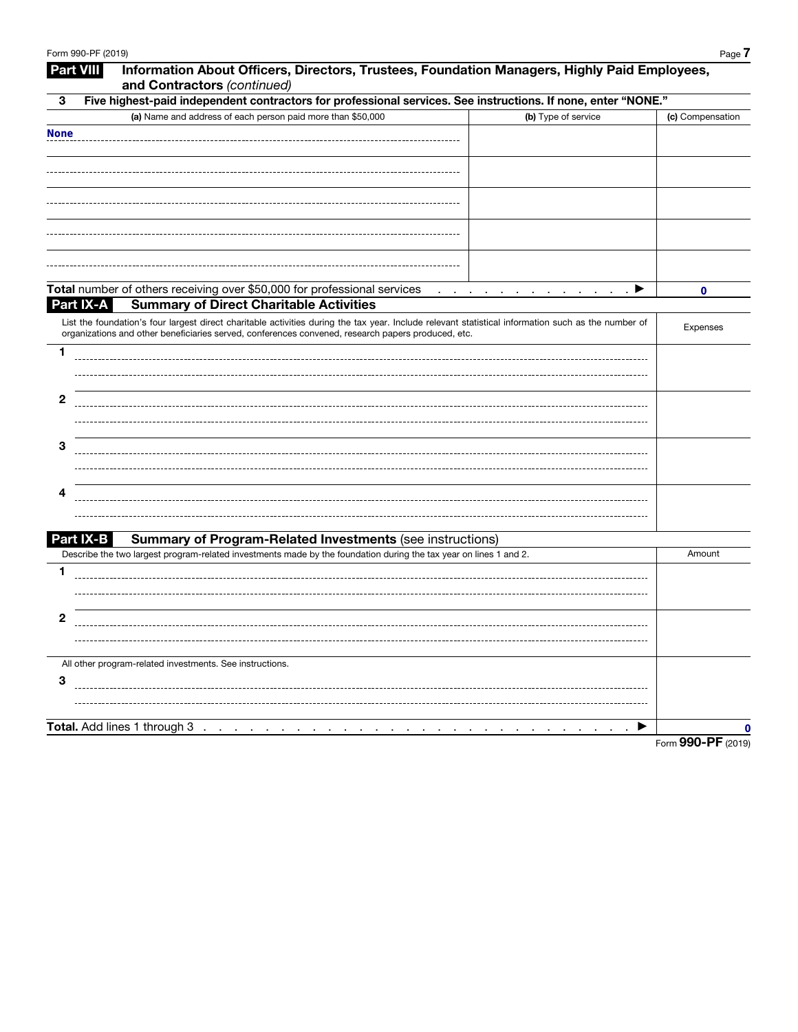| <b>Part VIII</b> | Information About Officers, Directors, Trustees, Foundation Managers, Highly Paid Employees,<br>and Contractors (continued)                                                                                                                               |                                    |
|------------------|-----------------------------------------------------------------------------------------------------------------------------------------------------------------------------------------------------------------------------------------------------------|------------------------------------|
| 3                | Five highest-paid independent contractors for professional services. See instructions. If none, enter "NONE."                                                                                                                                             |                                    |
|                  | (a) Name and address of each person paid more than \$50,000<br>(b) Type of service                                                                                                                                                                        | (c) Compensation                   |
| <b>None</b>      |                                                                                                                                                                                                                                                           |                                    |
|                  |                                                                                                                                                                                                                                                           |                                    |
|                  |                                                                                                                                                                                                                                                           |                                    |
|                  |                                                                                                                                                                                                                                                           |                                    |
|                  |                                                                                                                                                                                                                                                           |                                    |
|                  |                                                                                                                                                                                                                                                           |                                    |
|                  |                                                                                                                                                                                                                                                           |                                    |
|                  |                                                                                                                                                                                                                                                           |                                    |
|                  |                                                                                                                                                                                                                                                           |                                    |
|                  | Total number of others receiving over \$50,000 for professional services<br>the contract of the contract of the contract of                                                                                                                               | $\cdot$ $\blacktriangleright$<br>0 |
| Part IX-A        | <b>Summary of Direct Charitable Activities</b>                                                                                                                                                                                                            |                                    |
|                  | List the foundation's four largest direct charitable activities during the tax year. Include relevant statistical information such as the number of<br>organizations and other beneficiaries served, conferences convened, research papers produced, etc. | Expenses                           |
| 1                |                                                                                                                                                                                                                                                           |                                    |
|                  |                                                                                                                                                                                                                                                           |                                    |
|                  |                                                                                                                                                                                                                                                           |                                    |
| 2                |                                                                                                                                                                                                                                                           |                                    |
|                  |                                                                                                                                                                                                                                                           |                                    |
| З                |                                                                                                                                                                                                                                                           |                                    |
|                  |                                                                                                                                                                                                                                                           |                                    |
|                  |                                                                                                                                                                                                                                                           |                                    |
| 4                |                                                                                                                                                                                                                                                           |                                    |
|                  |                                                                                                                                                                                                                                                           |                                    |
|                  |                                                                                                                                                                                                                                                           |                                    |
| Part IX-B        | <b>Summary of Program-Related Investments (see instructions)</b><br>Describe the two largest program-related investments made by the foundation during the tax year on lines 1 and 2.                                                                     | Amount                             |
| 1                |                                                                                                                                                                                                                                                           |                                    |
|                  |                                                                                                                                                                                                                                                           |                                    |
|                  |                                                                                                                                                                                                                                                           |                                    |
| 2                |                                                                                                                                                                                                                                                           |                                    |
|                  |                                                                                                                                                                                                                                                           |                                    |
|                  |                                                                                                                                                                                                                                                           |                                    |
|                  | All other program-related investments. See instructions.                                                                                                                                                                                                  |                                    |
| 3                |                                                                                                                                                                                                                                                           |                                    |
|                  |                                                                                                                                                                                                                                                           |                                    |
|                  | Total. Add lines 1 through 3<br>the contract of the contract of the contract of the contract of the contract of the contract of the contract of                                                                                                           | 0                                  |
|                  |                                                                                                                                                                                                                                                           |                                    |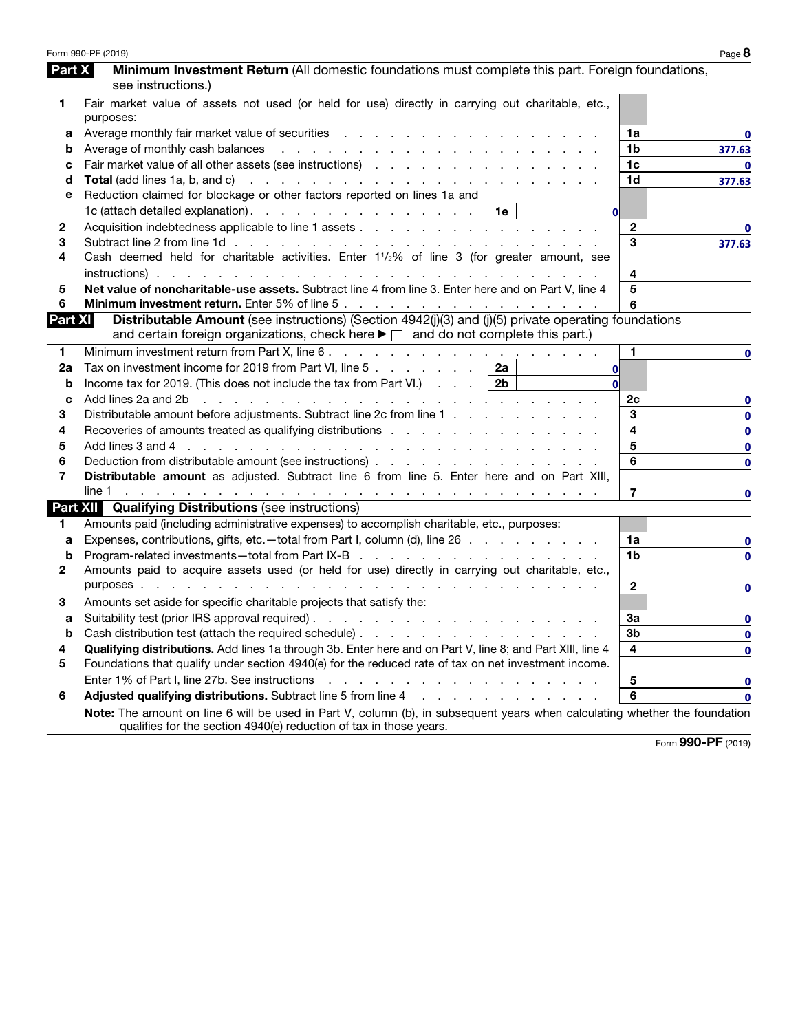|                | Form 990-PF (2019)                                                                                                                                                                                                             |                | Page 8       |
|----------------|--------------------------------------------------------------------------------------------------------------------------------------------------------------------------------------------------------------------------------|----------------|--------------|
| Part X         | Minimum Investment Return (All domestic foundations must complete this part. Foreign foundations,                                                                                                                              |                |              |
|                | see instructions.)                                                                                                                                                                                                             |                |              |
| 1              | Fair market value of assets not used (or held for use) directly in carrying out charitable, etc.,                                                                                                                              |                |              |
|                | purposes:                                                                                                                                                                                                                      |                |              |
| а              | Average monthly fair market value of securities expansion of the state of the state of the state of the state of the state of the state of the state of the state of the state of the state of the state of the state of the s | 1a             | 0            |
| b              |                                                                                                                                                                                                                                | 1b             | 377.63       |
| с              |                                                                                                                                                                                                                                | 1c             | $\mathbf{0}$ |
| d              |                                                                                                                                                                                                                                | 1d             | 377.63       |
| е              | Reduction claimed for blockage or other factors reported on lines 1a and                                                                                                                                                       |                |              |
|                | 1c (attach detailed explanation).   1e<br><sub>0</sub>                                                                                                                                                                         |                |              |
| 2              |                                                                                                                                                                                                                                | $\mathbf{2}$   | 0            |
| 3              |                                                                                                                                                                                                                                | 3              | 377.63       |
| 4              | Cash deemed held for charitable activities. Enter 1 <sup>1</sup> / <sub>2</sub> % of line 3 (for greater amount, see                                                                                                           |                |              |
|                |                                                                                                                                                                                                                                | 4              |              |
| 5              | Net value of noncharitable-use assets. Subtract line 4 from line 3. Enter here and on Part V, line 4                                                                                                                           | 5              |              |
| 6              |                                                                                                                                                                                                                                | 6              |              |
| <b>Part XI</b> | Distributable Amount (see instructions) (Section 4942(j)(3) and (j)(5) private operating foundations                                                                                                                           |                |              |
|                | and certain foreign organizations, check here $\blacktriangleright \Box$ and do not complete this part.)                                                                                                                       |                |              |
| 1              |                                                                                                                                                                                                                                | 1.             | 0            |
| 2a             | Tax on investment income for 2019 from Part VI, line 5 $\ldots$ $\ldots$ $\ldots$<br>2a<br>0l                                                                                                                                  |                |              |
| b              | Income tax for 2019. (This does not include the tax from Part VI.) $\ldots$   2b<br>Ωl                                                                                                                                         |                |              |
| c              | Add lines 2a and 2b r and r and r and r and r and r and r and r and r and r and r and r and r and r and r and r and r and r and r and r and r and r and r and r and r and r and r and r and r and r and r and r and r and r an | 2c             | 0            |
| 3              | Distributable amount before adjustments. Subtract line 2c from line 1                                                                                                                                                          | 3              | $\mathbf 0$  |
| 4              | Recoveries of amounts treated as qualifying distributions                                                                                                                                                                      | 4              | $\bf{0}$     |
| 5              | Add lines 3 and 4 (e.g. in a contract of the contract of the contract of the contract of the contract of the contract of the contract of the contract of the contract of the contract of the contract of the contract of the c | 5              | $\mathbf 0$  |
| 6              | Deduction from distributable amount (see instructions)                                                                                                                                                                         | 6              | $\mathbf 0$  |
| 7              | Distributable amount as adjusted. Subtract line 6 from line 5. Enter here and on Part XIII,                                                                                                                                    |                |              |
|                |                                                                                                                                                                                                                                | 7              | 0            |
|                | <b>Part XII Qualifying Distributions (see instructions)</b>                                                                                                                                                                    |                |              |
| 1              | Amounts paid (including administrative expenses) to accomplish charitable, etc., purposes:                                                                                                                                     |                |              |
| a              | Expenses, contributions, gifts, etc.—total from Part I, column (d), line 26                                                                                                                                                    | 1a             | 0            |
| b              |                                                                                                                                                                                                                                | 1b             | 0            |
| 2              | Amounts paid to acquire assets used (or held for use) directly in carrying out charitable, etc.,                                                                                                                               |                |              |
|                |                                                                                                                                                                                                                                | $\mathbf{2}$   | 0            |
| 3              | Amounts set aside for specific charitable projects that satisfy the:                                                                                                                                                           |                |              |
| а              |                                                                                                                                                                                                                                | За             | 0            |
|                |                                                                                                                                                                                                                                | 3 <sub>b</sub> | $\bf{0}$     |
| 4              | Qualifying distributions. Add lines 1a through 3b. Enter here and on Part V, line 8; and Part XIII, line 4                                                                                                                     | 4              | 0            |
| 5              | Foundations that qualify under section 4940(e) for the reduced rate of tax on net investment income.                                                                                                                           |                |              |
|                | Enter 1% of Part I, line 27b. See instructions<br>and a series of the contract of the contract of the contract of the                                                                                                          | 5              | 0            |
| 6              | Adjusted qualifying distributions. Subtract line 5 from line 4 manufacturers and contact the substitution of the substitution of the substitution of Adjustment Points and Adjustment Points and Adjustment Points and Adjustm | 6              | 0            |
|                | Note: The amount on line 6 will be used in Part V, column (b), in subsequent years when calculating whether the foundation<br>qualifies for the section 4940(e) reduction of tax in those years.                               |                |              |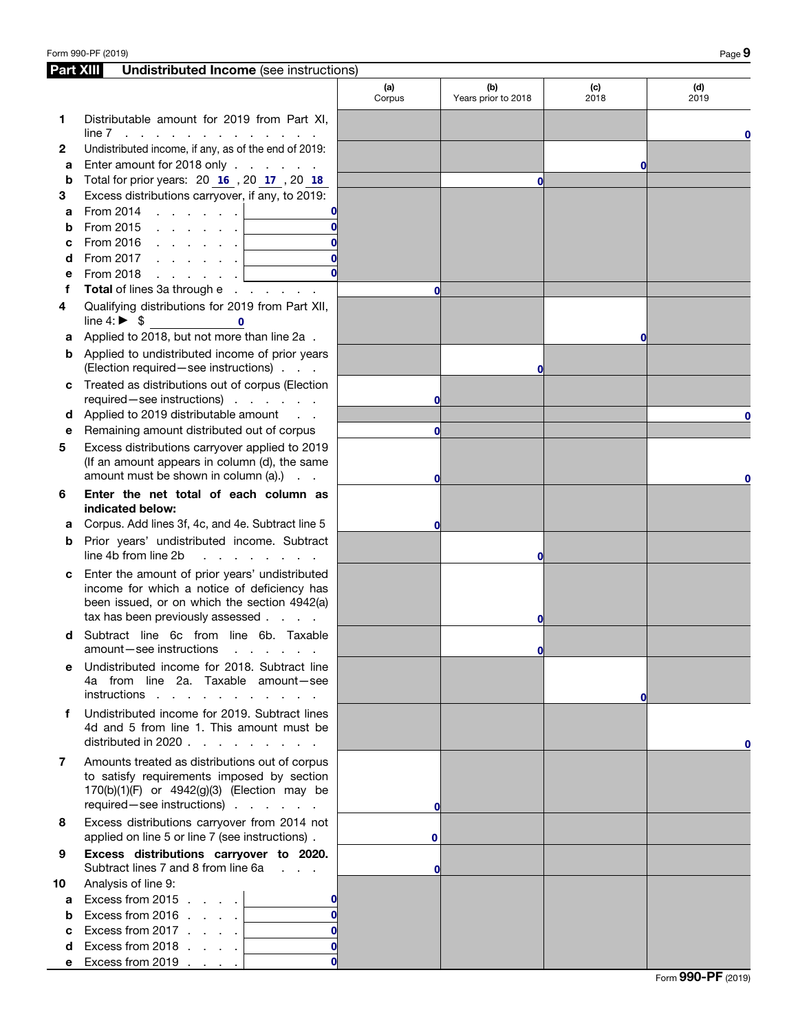| <b>Part XIII</b> | <b>Undistributed Income</b> (see instructions)                                                                                                                                    |               |                            |             |             |
|------------------|-----------------------------------------------------------------------------------------------------------------------------------------------------------------------------------|---------------|----------------------------|-------------|-------------|
|                  |                                                                                                                                                                                   | (a)<br>Corpus | (b)<br>Years prior to 2018 | (c)<br>2018 | (d)<br>2019 |
| 1                | Distributable amount for 2019 from Part XI,<br>line 7<br>the contract of the contract of the contract of                                                                          |               |                            |             | 0           |
| 2                | Undistributed income, if any, as of the end of 2019:                                                                                                                              |               |                            |             |             |
| а                | Enter amount for 2018 only                                                                                                                                                        |               |                            | O           |             |
| b                | Total for prior years: 20 16, 20 17, 20 18                                                                                                                                        |               | $\bf{0}$                   |             |             |
| З                | Excess distributions carryover, if any, to 2019:                                                                                                                                  |               |                            |             |             |
| a                | From 2014<br>and the control of<br>0                                                                                                                                              |               |                            |             |             |
| b                | From 2015 $\ldots$ $\ldots$ $\ldots$<br>$\Omega$                                                                                                                                  |               |                            |             |             |
| с                | $\Omega$                                                                                                                                                                          |               |                            |             |             |
| d                | Ωl<br>From 2017<br>and the company                                                                                                                                                |               |                            |             |             |
| е                | From 2018<br>and a state of the state<br><u> 1990 - Jan Barat, politik politik (</u>                                                                                              |               |                            |             |             |
| f                | Total of lines 3a through e                                                                                                                                                       | $\mathbf{0}$  |                            |             |             |
| 4                | Qualifying distributions for 2019 from Part XII,<br>line $4: \triangleright$ \$<br>$\mathbf{0}$                                                                                   |               |                            |             |             |
| а                | Applied to 2018, but not more than line 2a.                                                                                                                                       |               |                            | $\mathbf 0$ |             |
| b                | Applied to undistributed income of prior years<br>(Election required - see instructions)                                                                                          |               | $\bf{0}$                   |             |             |
| с                | Treated as distributions out of corpus (Election<br>required-see instructions)                                                                                                    | $\mathbf 0$   |                            |             |             |
| d                | Applied to 2019 distributable amount                                                                                                                                              |               |                            |             | 0           |
| е                | Remaining amount distributed out of corpus                                                                                                                                        | $\mathbf{0}$  |                            |             |             |
| 5                | Excess distributions carryover applied to 2019<br>(If an amount appears in column (d), the same<br>amount must be shown in column (a).)                                           |               |                            |             |             |
| 6                | Enter the net total of each column as<br>indicated below:                                                                                                                         | 0             |                            |             | 0           |
| а                | Corpus. Add lines 3f, 4c, and 4e. Subtract line 5                                                                                                                                 | $\mathbf{0}$  |                            |             |             |
| b                | Prior years' undistributed income. Subtract                                                                                                                                       |               |                            |             |             |
|                  | line 4b from line 2b<br>and a state of the state of the                                                                                                                           |               | 0                          |             |             |
| с                | Enter the amount of prior years' undistributed<br>income for which a notice of deficiency has<br>been issued, or on which the section 4942(a)<br>tax has been previously assessed |               | 0                          |             |             |
| d                | Subtract line 6c from line 6b. Taxable<br>amount-see instructions<br>and a state of the state of                                                                                  |               | 0l                         |             |             |
| е                | Undistributed income for 2018. Subtract line<br>4a from line 2a. Taxable amount-see<br>instructions                                                                               |               |                            | Οl          |             |
| f                | Undistributed income for 2019. Subtract lines<br>4d and 5 from line 1. This amount must be<br>distributed in 2020 $\ldots$ $\ldots$ $\ldots$ $\ldots$                             |               |                            |             | 0           |
| 7                | Amounts treated as distributions out of corpus<br>to satisfy requirements imposed by section<br>170(b)(1)(F) or 4942(g)(3) (Election may be<br>required - see instructions)       | $\mathbf 0$   |                            |             |             |
| 8                | Excess distributions carryover from 2014 not<br>applied on line 5 or line 7 (see instructions).                                                                                   | 0             |                            |             |             |
| 9                | Excess distributions carryover to 2020.<br>Subtract lines 7 and 8 from line 6a                                                                                                    | $\mathbf 0$   |                            |             |             |
| 10               | Analysis of line 9:                                                                                                                                                               |               |                            |             |             |
| a                | Excess from 2015 $\ldots$ .<br>$\Omega$                                                                                                                                           |               |                            |             |             |
| b                | Excess from 2016 $\ldots$ .<br>$\Omega$                                                                                                                                           |               |                            |             |             |
| c                | Excess from 2017 $\ldots$ .<br>$\Omega$                                                                                                                                           |               |                            |             |             |
| d                | Excess from 2018 $\ldots$ .<br>$\Omega$                                                                                                                                           |               |                            |             |             |
| е                | Ωl<br>Excess from 2019                                                                                                                                                            |               |                            |             |             |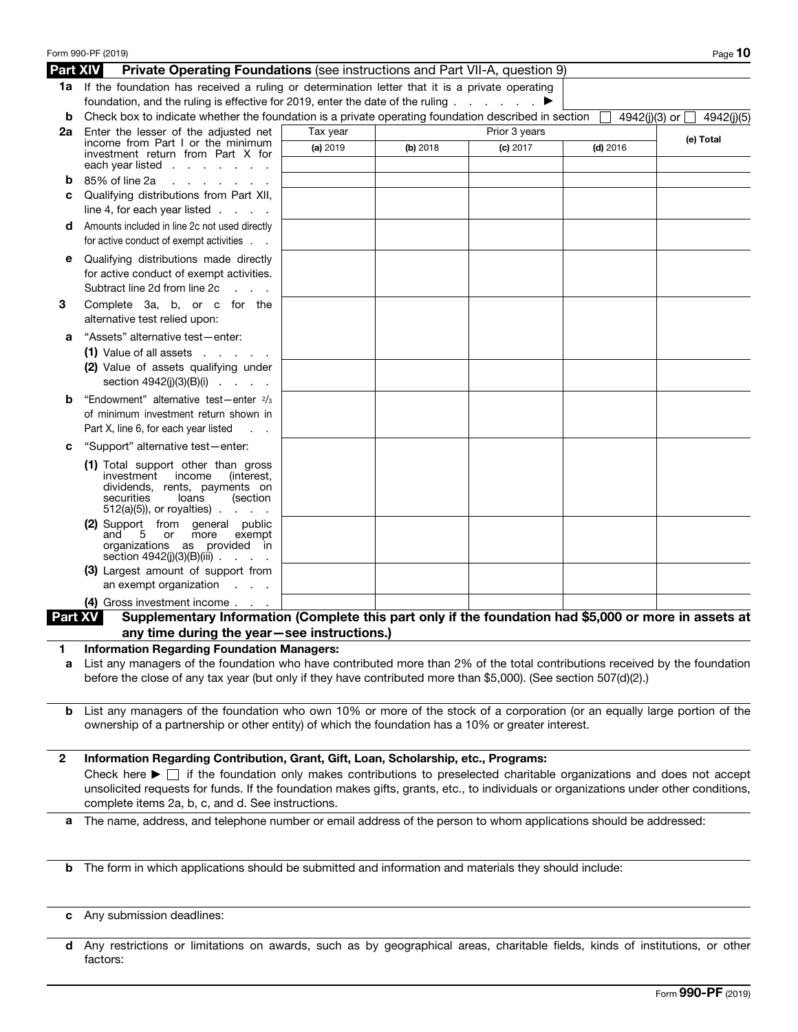|                 | Form 990-PF (2019)                                                                                                                                                                                                                                                                                                                        |          |          |               |            | Page 10                         |
|-----------------|-------------------------------------------------------------------------------------------------------------------------------------------------------------------------------------------------------------------------------------------------------------------------------------------------------------------------------------------|----------|----------|---------------|------------|---------------------------------|
| <b>Part XIV</b> | Private Operating Foundations (see instructions and Part VII-A, question 9)                                                                                                                                                                                                                                                               |          |          |               |            |                                 |
|                 | 1a If the foundation has received a ruling or determination letter that it is a private operating<br>foundation, and the ruling is effective for 2019, enter the date of the ruling $\ldots$ $\ldots$                                                                                                                                     |          |          |               |            |                                 |
| b               | Check box to indicate whether the foundation is a private operating foundation described in section                                                                                                                                                                                                                                       |          |          |               |            | 4942(j)(3) or $\Box$ 4942(j)(5) |
| 2a              | Enter the lesser of the adjusted net                                                                                                                                                                                                                                                                                                      | Tax year |          | Prior 3 years |            | (e) Total                       |
|                 | income from Part I or the minimum<br>investment return from Part X for<br>each year listed $\ldots$                                                                                                                                                                                                                                       | (a) 2019 | (b) 2018 | $(c)$ 2017    | $(d)$ 2016 |                                 |
| b               | 85% of line 2a<br>$\mathbf{r}$ and $\mathbf{r}$ and $\mathbf{r}$ and $\mathbf{r}$                                                                                                                                                                                                                                                         |          |          |               |            |                                 |
| c               | Qualifying distributions from Part XII,<br>line 4, for each year listed $\ldots$ .                                                                                                                                                                                                                                                        |          |          |               |            |                                 |
| d               | Amounts included in line 2c not used directly                                                                                                                                                                                                                                                                                             |          |          |               |            |                                 |
|                 | for active conduct of exempt activities                                                                                                                                                                                                                                                                                                   |          |          |               |            |                                 |
| е               | Qualifying distributions made directly                                                                                                                                                                                                                                                                                                    |          |          |               |            |                                 |
|                 | for active conduct of exempt activities.<br>Subtract line 2d from line 2c<br>$\mathbf{L} = \mathbf{L} \times \mathbf{L}$                                                                                                                                                                                                                  |          |          |               |            |                                 |
| 3               | Complete 3a, b, or c for the<br>alternative test relied upon:                                                                                                                                                                                                                                                                             |          |          |               |            |                                 |
| а               | "Assets" alternative test-enter:                                                                                                                                                                                                                                                                                                          |          |          |               |            |                                 |
|                 | $(1)$ Value of all assets $\cdot \cdot \cdot$ $\cdot \cdot$                                                                                                                                                                                                                                                                               |          |          |               |            |                                 |
|                 | (2) Value of assets qualifying under<br>section $4942(j)(3)(B)(i)$                                                                                                                                                                                                                                                                        |          |          |               |            |                                 |
| b               | "Endowment" alternative test-enter 2/3                                                                                                                                                                                                                                                                                                    |          |          |               |            |                                 |
|                 | of minimum investment return shown in<br>Part X, line 6, for each year listed                                                                                                                                                                                                                                                             |          |          |               |            |                                 |
|                 |                                                                                                                                                                                                                                                                                                                                           |          |          |               |            |                                 |
| c               | "Support" alternative test-enter:                                                                                                                                                                                                                                                                                                         |          |          |               |            |                                 |
|                 | (1) Total support other than gross<br>investment<br>income<br>(interest,<br>dividends, rents, payments on<br>securities<br>loans<br>(section<br>$512(a)(5)$ , or royalties).<br><b>Contract</b>                                                                                                                                           |          |          |               |            |                                 |
|                 | (2) Support from general public<br>and<br>5 or<br>more<br>exempt<br>organizations as provided in<br>section $4942(j)(3)(B)(iii)$                                                                                                                                                                                                          |          |          |               |            |                                 |
|                 | (3) Largest amount of support from<br>an exempt organization<br><b>Contractor</b>                                                                                                                                                                                                                                                         |          |          |               |            |                                 |
|                 | (4) Gross investment income                                                                                                                                                                                                                                                                                                               |          |          |               |            |                                 |
| Part XV         | Supplementary Information (Complete this part only if the foundation had \$5,000 or more in assets at                                                                                                                                                                                                                                     |          |          |               |            |                                 |
|                 | any time during the year-see instructions.)                                                                                                                                                                                                                                                                                               |          |          |               |            |                                 |
| 1               | <b>Information Regarding Foundation Managers:</b><br>List any managers of the foundation who have contributed more than 2% of the total contributions received by the foundation                                                                                                                                                          |          |          |               |            |                                 |
| а               | before the close of any tax year (but only if they have contributed more than \$5,000). (See section 507(d)(2).)                                                                                                                                                                                                                          |          |          |               |            |                                 |
|                 | <b>b</b> List any managers of the foundation who own 10% or more of the stock of a corporation (or an equally large portion of the<br>ownership of a partnership or other entity) of which the foundation has a 10% or greater interest.                                                                                                  |          |          |               |            |                                 |
| $\mathbf{2}$    | Information Regarding Contribution, Grant, Gift, Loan, Scholarship, etc., Programs:                                                                                                                                                                                                                                                       |          |          |               |            |                                 |
|                 | Check here $\blacktriangleright \Box$ if the foundation only makes contributions to preselected charitable organizations and does not accept<br>unsolicited requests for funds. If the foundation makes gifts, grants, etc., to individuals or organizations under other conditions,<br>complete items 2a, b, c, and d. See instructions. |          |          |               |            |                                 |
| а               | The name, address, and telephone number or email address of the person to whom applications should be addressed:                                                                                                                                                                                                                          |          |          |               |            |                                 |
|                 |                                                                                                                                                                                                                                                                                                                                           |          |          |               |            |                                 |
| b               | The form in which applications should be submitted and information and materials they should include:                                                                                                                                                                                                                                     |          |          |               |            |                                 |
| с               | Any submission deadlines:                                                                                                                                                                                                                                                                                                                 |          |          |               |            |                                 |
|                 |                                                                                                                                                                                                                                                                                                                                           |          |          |               |            |                                 |

d Any restrictions or limitations on awards, such as by geographical areas, charitable fields, kinds of institutions, or other factors: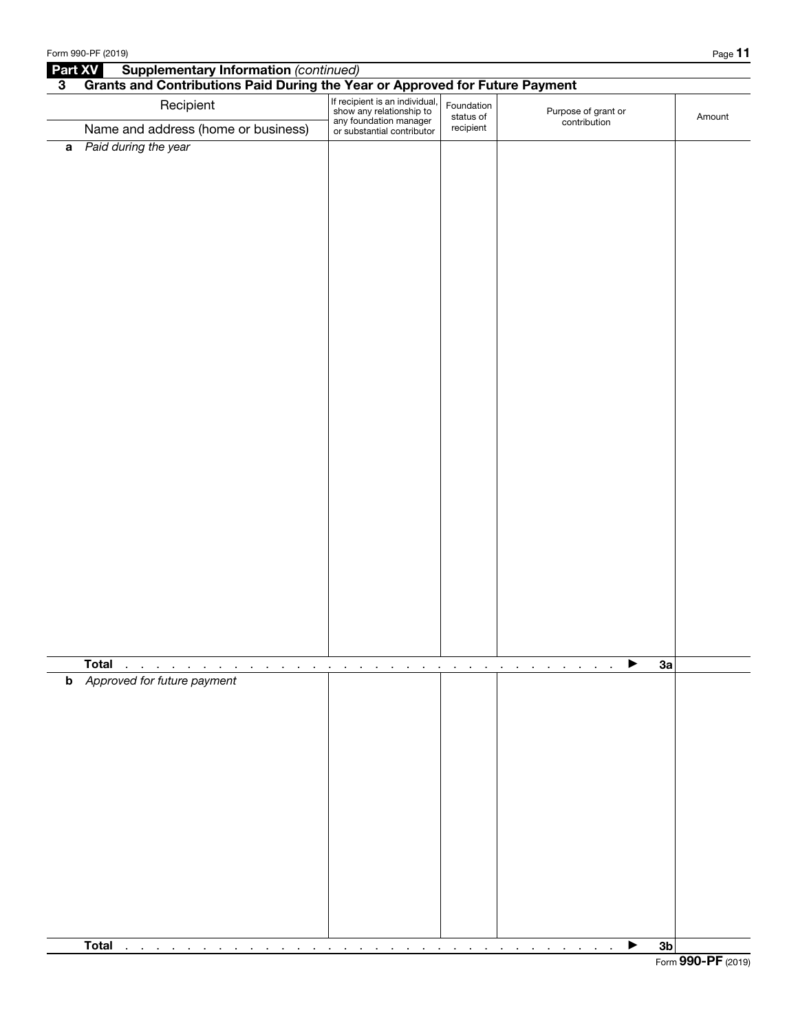|                | Form 990-PF (2019)                                                                                            |                                                                                                                    |                                                      |                                       | Page 11        |
|----------------|---------------------------------------------------------------------------------------------------------------|--------------------------------------------------------------------------------------------------------------------|------------------------------------------------------|---------------------------------------|----------------|
|                | <b>Supplementary Information (continued)</b><br>Part XV                                                       |                                                                                                                    |                                                      |                                       |                |
| $3\phantom{a}$ | Grants and Contributions Paid During the Year or Approved for Future Payment                                  |                                                                                                                    |                                                      |                                       |                |
|                | Recipient                                                                                                     | If recipient is an individual,<br>show any relationship to<br>any foundation manager<br>or substantial contributor | Foundation<br>status of                              | Purpose of grant or<br>contribution   | Amount         |
|                | Name and address (home or business)                                                                           |                                                                                                                    | recipient                                            |                                       |                |
|                | a Paid during the year                                                                                        |                                                                                                                    |                                                      |                                       |                |
|                |                                                                                                               |                                                                                                                    |                                                      |                                       |                |
|                | <b>Total</b><br>$\sim$<br>$\mathbf{r}$<br>the company of the company<br>$\sim 100$ km s $^{-1}$               | $\blacksquare$<br>$\cdot$<br>$\cdot$<br>$\cdot$<br>$\mathbf{r}$<br>$\blacksquare$<br>$\blacksquare$                | and a state of the                                   | ▶<br>$\sim$<br>$\sim$<br>$\mathbf{r}$ | 3a             |
|                | <b>b</b> Approved for future payment                                                                          |                                                                                                                    |                                                      |                                       |                |
|                | <b>Total</b><br>$\sim$<br>the contract of the contract of the<br>$\sim$<br>$\sim$<br>$\blacksquare$<br>$\sim$ | $\sim$<br>$\sim$<br>$\sim$<br>$\sim$<br>$\sim$<br>$\sim$<br>$\sim$                                                 | <b>Contract Contract</b><br>$\sim$<br>$\blacksquare$ | <b>Contract</b><br>$\sim$<br>$\sim$   | 3 <sub>b</sub> |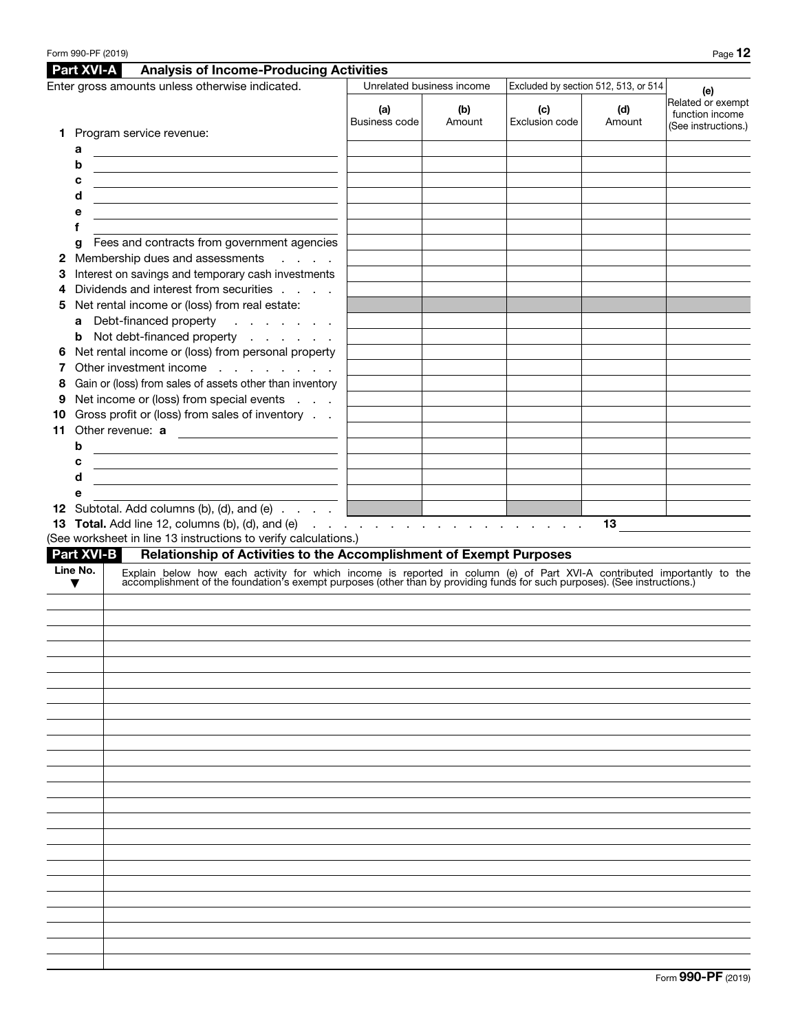|                                                 |                   | Form 990-PF (2019)                                                                                                                                                                                                            |                             |               |                                      |               | Page 12                                                     |
|-------------------------------------------------|-------------------|-------------------------------------------------------------------------------------------------------------------------------------------------------------------------------------------------------------------------------|-----------------------------|---------------|--------------------------------------|---------------|-------------------------------------------------------------|
|                                                 | <b>Part XVI-A</b> | <b>Analysis of Income-Producing Activities</b>                                                                                                                                                                                |                             |               |                                      |               |                                                             |
| Enter gross amounts unless otherwise indicated. |                   |                                                                                                                                                                                                                               | Unrelated business income   |               | Excluded by section 512, 513, or 514 |               | (e)                                                         |
|                                                 |                   |                                                                                                                                                                                                                               | (a)<br><b>Business code</b> | (b)<br>Amount | (c)<br>Exclusion code                | (d)<br>Amount | Related or exempt<br>function income<br>(See instructions.) |
| 1.                                              |                   | Program service revenue:                                                                                                                                                                                                      |                             |               |                                      |               |                                                             |
|                                                 | а                 |                                                                                                                                                                                                                               |                             |               |                                      |               |                                                             |
|                                                 | b                 | <u> 1989 - Johann Stoff, Amerikaansk politiker (</u>                                                                                                                                                                          |                             |               |                                      |               |                                                             |
|                                                 | c                 |                                                                                                                                                                                                                               |                             |               |                                      |               |                                                             |
|                                                 | d                 | <u> 1989 - Andrea Andrew Maria (h. 1989).</u>                                                                                                                                                                                 |                             |               |                                      |               |                                                             |
|                                                 | е<br>f            |                                                                                                                                                                                                                               |                             |               |                                      |               |                                                             |
|                                                 | g                 | Fees and contracts from government agencies                                                                                                                                                                                   |                             |               |                                      |               |                                                             |
| 2                                               |                   | Membership dues and assessments<br><b>Service</b> State                                                                                                                                                                       |                             |               |                                      |               |                                                             |
| З                                               |                   | Interest on savings and temporary cash investments                                                                                                                                                                            |                             |               |                                      |               |                                                             |
| 4                                               |                   | Dividends and interest from securities                                                                                                                                                                                        |                             |               |                                      |               |                                                             |
| 5                                               |                   | Net rental income or (loss) from real estate:                                                                                                                                                                                 |                             |               |                                      |               |                                                             |
|                                                 |                   | a Debt-financed property                                                                                                                                                                                                      |                             |               |                                      |               |                                                             |
|                                                 | b                 | Not debt-financed property                                                                                                                                                                                                    |                             |               |                                      |               |                                                             |
| 6                                               |                   | Net rental income or (loss) from personal property                                                                                                                                                                            |                             |               |                                      |               |                                                             |
|                                                 |                   | Other investment income                                                                                                                                                                                                       |                             |               |                                      |               |                                                             |
| 8                                               |                   | Gain or (loss) from sales of assets other than inventory                                                                                                                                                                      |                             |               |                                      |               |                                                             |
| 9                                               |                   | Net income or (loss) from special events                                                                                                                                                                                      |                             |               |                                      |               |                                                             |
| 10<br>11                                        |                   | Gross profit or (loss) from sales of inventory                                                                                                                                                                                |                             |               |                                      |               |                                                             |
|                                                 | b                 | Other revenue: a                                                                                                                                                                                                              |                             |               |                                      |               |                                                             |
|                                                 | с                 | <u> 1989 - Johann Barn, amerikansk politiker (</u>                                                                                                                                                                            |                             |               |                                      |               |                                                             |
|                                                 | d                 | <u> 1980 - Johann Barn, fransk politik (d. 1980)</u><br>the contract of the contract of the contract of the contract of the contract of                                                                                       |                             |               |                                      |               |                                                             |
|                                                 | е                 |                                                                                                                                                                                                                               |                             |               |                                      |               |                                                             |
|                                                 |                   | 12 Subtotal. Add columns (b), (d), and (e)                                                                                                                                                                                    |                             |               |                                      |               |                                                             |
|                                                 |                   | 13 Total. Add line 12, columns (b), (d), and (e) $\cdots$ $\cdots$ $\cdots$ $\cdots$ $\cdots$ $\cdots$                                                                                                                        |                             |               |                                      | 13            |                                                             |
|                                                 |                   | (See worksheet in line 13 instructions to verify calculations.)                                                                                                                                                               |                             |               |                                      |               |                                                             |
|                                                 |                   | <b>Part XVI-B</b><br>Relationship of Activities to the Accomplishment of Exempt Purposes                                                                                                                                      |                             |               |                                      |               |                                                             |
|                                                 | Line No.<br>▼     | Explain below how each activity for which income is reported in column (e) of Part XVI-A contributed importantly to the accomplishment of the foundation's exempt purposes (other than by providing funds for such purposes). |                             |               |                                      |               |                                                             |
|                                                 |                   |                                                                                                                                                                                                                               |                             |               |                                      |               |                                                             |
|                                                 |                   |                                                                                                                                                                                                                               |                             |               |                                      |               |                                                             |
|                                                 |                   |                                                                                                                                                                                                                               |                             |               |                                      |               |                                                             |
|                                                 |                   |                                                                                                                                                                                                                               |                             |               |                                      |               |                                                             |
|                                                 |                   |                                                                                                                                                                                                                               |                             |               |                                      |               |                                                             |
|                                                 |                   |                                                                                                                                                                                                                               |                             |               |                                      |               |                                                             |
|                                                 |                   |                                                                                                                                                                                                                               |                             |               |                                      |               |                                                             |
|                                                 |                   |                                                                                                                                                                                                                               |                             |               |                                      |               |                                                             |
|                                                 |                   |                                                                                                                                                                                                                               |                             |               |                                      |               |                                                             |
|                                                 |                   |                                                                                                                                                                                                                               |                             |               |                                      |               |                                                             |
|                                                 |                   |                                                                                                                                                                                                                               |                             |               |                                      |               |                                                             |
|                                                 |                   |                                                                                                                                                                                                                               |                             |               |                                      |               |                                                             |
|                                                 |                   |                                                                                                                                                                                                                               |                             |               |                                      |               |                                                             |
|                                                 |                   |                                                                                                                                                                                                                               |                             |               |                                      |               |                                                             |
|                                                 |                   |                                                                                                                                                                                                                               |                             |               |                                      |               |                                                             |
|                                                 |                   |                                                                                                                                                                                                                               |                             |               |                                      |               |                                                             |
|                                                 |                   |                                                                                                                                                                                                                               |                             |               |                                      |               |                                                             |
|                                                 |                   |                                                                                                                                                                                                                               |                             |               |                                      |               |                                                             |
|                                                 |                   |                                                                                                                                                                                                                               |                             |               |                                      |               |                                                             |
|                                                 |                   |                                                                                                                                                                                                                               |                             |               |                                      |               |                                                             |
|                                                 |                   |                                                                                                                                                                                                                               |                             |               |                                      |               |                                                             |
|                                                 |                   |                                                                                                                                                                                                                               |                             |               |                                      |               |                                                             |
|                                                 |                   |                                                                                                                                                                                                                               |                             |               |                                      |               |                                                             |